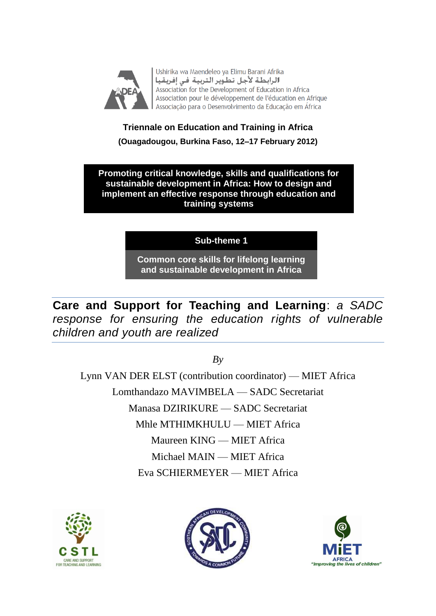

Ushirika wa Maendeleo ya Elimu Barani Afrika الرابطة لأجل تطوير التربية في إفريقيا Association for the Development of Education in Africa Association pour le développement de l'éducation en Afrique Associação para o Desenvolvimento da Educação em África

# **Triennale on Education and Training in Africa (Ouagadougou, Burkina Faso, 12–17 February 2012)**

**Promoting critical knowledge, skills and qualifications for sustainable development in Africa: How to design and implement an effective response through education and training systems**

**Sub-theme 1**

**Common core skills for lifelong learning and sustainable development in Africa**

**Care and Support for Teaching and Learning**: *a SADC response for ensuring the education rights of vulnerable children and youth are realized*

*By*

Lynn VAN DER ELST (contribution coordinator) — MIET Africa Lomthandazo MAVIMBELA — SADC Secretariat Manasa DZIRIKURE — SADC Secretariat Mhle MTHIMKHULU — MIET Africa Maureen KING — MIET Africa Michael MAIN — MIET Africa Eva SCHIERMEYER — MIET Africa





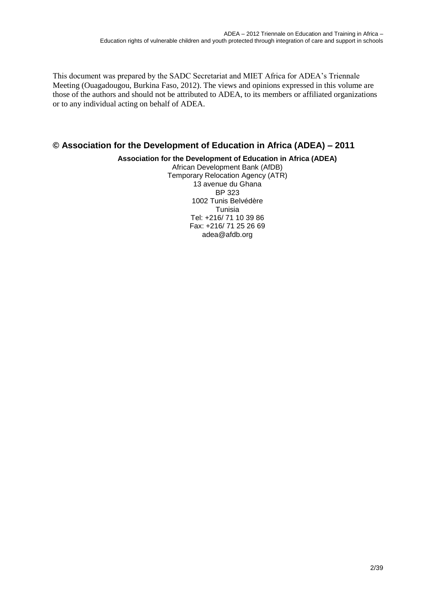This document was prepared by the SADC Secretariat and MIET Africa for ADEA's Triennale Meeting (Ouagadougou, Burkina Faso, 2012). The views and opinions expressed in this volume are those of the authors and should not be attributed to ADEA, to its members or affiliated organizations or to any individual acting on behalf of ADEA.

### **© Association for the Development of Education in Africa (ADEA) – 2011**

#### **Association for the Development of Education in Africa (ADEA)**

African Development Bank (AfDB) Temporary Relocation Agency (ATR) 13 avenue du Ghana BP 323 1002 Tunis Belvédère Tunisia Tel: +216/ 71 10 39 86 Fax: +216/ 71 25 26 69 adea@afdb.org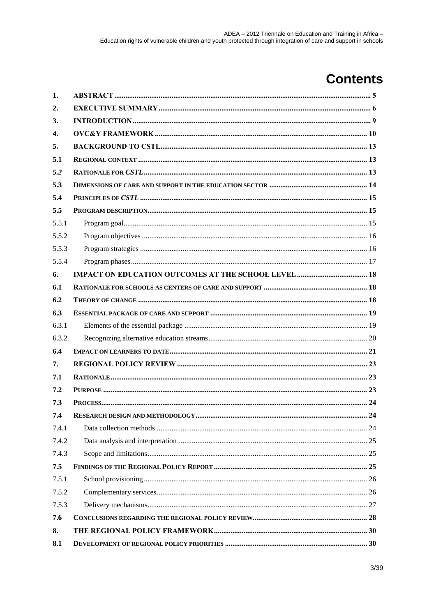# **Contents**

| 1.    |     |
|-------|-----|
| 2.    |     |
| 3.    |     |
| 4.    |     |
| 5.    |     |
| 5.1   |     |
| 5.2   |     |
| 5.3   |     |
| 5.4   |     |
| 5.5   |     |
| 5.5.1 |     |
| 5.5.2 |     |
| 5.5.3 |     |
| 5.5.4 |     |
| 6.    |     |
| 6.1   |     |
| 6.2   |     |
| 6.3   |     |
| 6.3.1 |     |
| 6.3.2 |     |
| 6.4   |     |
| 7.    |     |
| 7.1   |     |
| 7.2   |     |
| 7.3   |     |
| 7.4   | .24 |
| 7.4.1 |     |
| 7.4.2 |     |
| 7.4.3 |     |
| 7.5   |     |
| 7.5.1 |     |
| 7.5.2 |     |
| 7.5.3 |     |
| 7.6   |     |
| 8.    |     |
| 8.1   |     |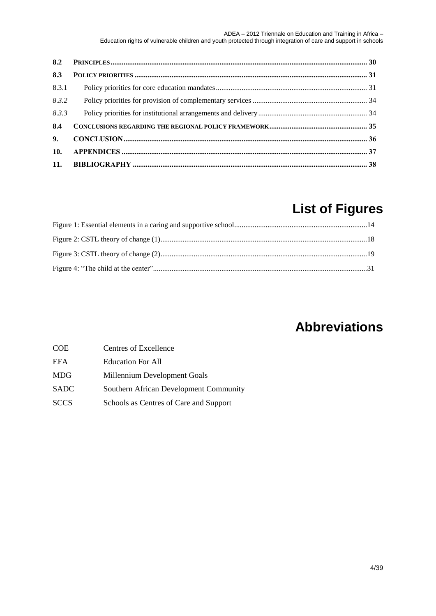| 8.3   |  |
|-------|--|
| 8.3.1 |  |
| 8.3.2 |  |
| 8.3.3 |  |
| 8.4   |  |
|       |  |
| 10.   |  |
|       |  |

# **List of Figures**

# **Abbreviations**

| COE         | Centres of Excellence                  |
|-------------|----------------------------------------|
| EFA         | <b>Education For All</b>               |
| MDG         | Millennium Development Goals           |
| SADC        | Southern African Development Community |
| <b>SCCS</b> | Schools as Centres of Care and Support |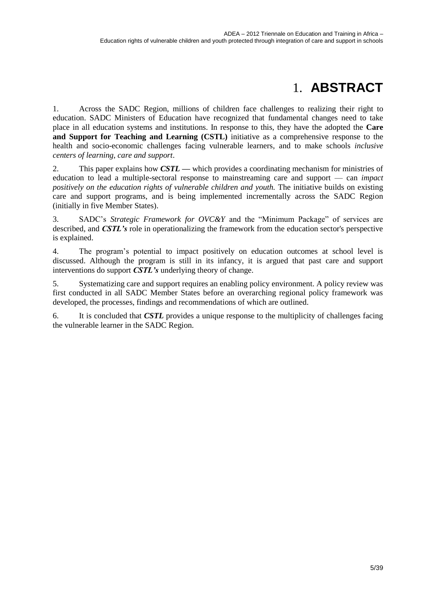# 1. **ABSTRACT**

<span id="page-4-0"></span>1. Across the SADC Region, millions of children face challenges to realizing their right to education. SADC Ministers of Education have recognized that fundamental changes need to take place in all education systems and institutions. In response to this, they have the adopted the **Care and Support for Teaching and Learning (CSTL)** initiative as a comprehensive response to the health and socio-economic challenges facing vulnerable learners, and to make schools *inclusive centers of learning, care and support*.

2. This paper explains how *CSTL —* which provides a coordinating mechanism for ministries of education to lead a multiple-sectoral response to mainstreaming care and support — can *impact positively on the education rights of vulnerable children and youth.* The initiative builds on existing care and support programs, and is being implemented incrementally across the SADC Region (initially in five Member States).

3. SADC's *Strategic Framework for OVC&Y* and the "Minimum Package" of services are described, and *CSTL's* role in operationalizing the framework from the education sector's perspective is explained.

4. The program's potential to impact positively on education outcomes at school level is discussed. Although the program is still in its infancy, it is argued that past care and support interventions do support *CSTL's* underlying theory of change.

5. Systematizing care and support requires an enabling policy environment. A policy review was first conducted in all SADC Member States before an overarching regional policy framework was developed, the processes, findings and recommendations of which are outlined.

6. It is concluded that *CSTL* provides a unique response to the multiplicity of challenges facing the vulnerable learner in the SADC Region.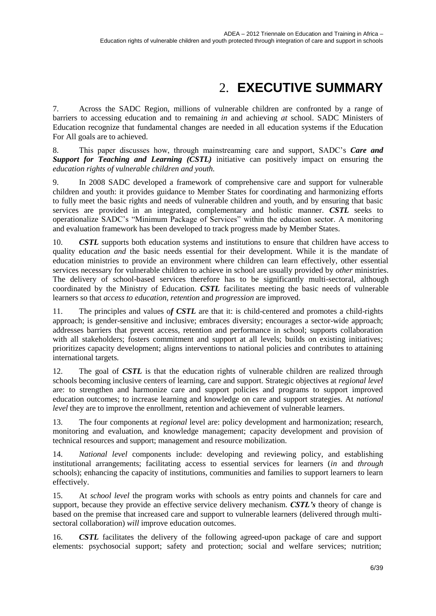# 2. **EXECUTIVE SUMMARY**

<span id="page-5-0"></span>7. Across the SADC Region, millions of vulnerable children are confronted by a range of barriers to accessing education and to remaining *in* and achieving *at* school. SADC Ministers of Education recognize that fundamental changes are needed in all education systems if the Education For All goals are to achieved.

8. This paper discusses how, through mainstreaming care and support, SADC's *Care and Support for Teaching and Learning (CSTL)* initiative can positively impact on ensuring the *education rights of vulnerable children and youth.*

9. In 2008 SADC developed a framework of comprehensive care and support for vulnerable children and youth: it provides guidance to Member States for coordinating and harmonizing efforts to fully meet the basic rights and needs of vulnerable children and youth, and by ensuring that basic services are provided in an integrated, complementary and holistic manner. *CSTL* seeks to operationalize SADC's "Minimum Package of Services" within the education sector. A monitoring and evaluation framework has been developed to track progress made by Member States.

10. *CSTL* supports both education systems and institutions to ensure that children have access to quality education *and* the basic needs essential for their development. While it is the mandate of education ministries to provide an environment where children can learn effectively, other essential services necessary for vulnerable children to achieve in school are usually provided by *other* ministries. The delivery of school-based services therefore has to be significantly multi-sectoral, although coordinated by the Ministry of Education. *CSTL* facilitates meeting the basic needs of vulnerable learners so that *access to education, retention* and *progression* are improved.

11. The principles and values o*f CSTL* are that it: is child-centered and promotes a child-rights approach; is gender-sensitive and inclusive; embraces diversity; encourages a sector-wide approach; addresses barriers that prevent access, retention and performance in school; supports collaboration with all stakeholders; fosters commitment and support at all levels; builds on existing initiatives; prioritizes capacity development; aligns interventions to national policies and contributes to attaining international targets.

12. The goal of *CSTL* is that the education rights of vulnerable children are realized through schools becoming inclusive centers of learning, care and support. Strategic objectives at *regional level* are: to strengthen and harmonize care and support policies and programs to support improved education outcomes; to increase learning and knowledge on care and support strategies. At *national level* they are to improve the enrollment, retention and achievement of vulnerable learners.

13. The four components at *regional* level are: policy development and harmonization; research, monitoring and evaluation, and knowledge management; capacity development and provision of technical resources and support; management and resource mobilization.

14. *National level* components include: developing and reviewing policy, and establishing institutional arrangements; facilitating access to essential services for learners (*in* and *through* schools); enhancing the capacity of institutions, communities and families to support learners to learn effectively.

15. At *school level* the program works with schools as entry points and channels for care and support, because they provide an effective service delivery mechanism. *CSTL's* theory of change is based on the premise that increased care and support to vulnerable learners (delivered through multisectoral collaboration) *will* improve education outcomes.

16. *CSTL* facilitates the delivery of the following agreed-upon package of care and support elements: psychosocial support; safety and protection; social and welfare services; nutrition;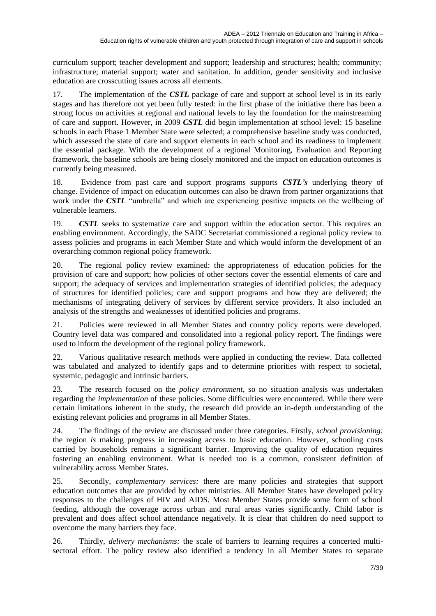curriculum support; teacher development and support; leadership and structures; health; community; infrastructure; material support; water and sanitation. In addition, gender sensitivity and inclusive education are crosscutting issues across all elements.

17. The implementation of the *CSTL* package of care and support at school level is in its early stages and has therefore not yet been fully tested: in the first phase of the initiative there has been a strong focus on activities at regional and national levels to lay the foundation for the mainstreaming of care and support. However, in 2009 *CSTL* did begin implementation at school level: 15 baseline schools in each Phase 1 Member State were selected; a comprehensive baseline study was conducted, which assessed the state of care and support elements in each school and its readiness to implement the essential package. With the development of a regional Monitoring, Evaluation and Reporting framework, the baseline schools are being closely monitored and the impact on education outcomes is currently being measured.

18. Evidence from past care and support programs supports *CSTL's* underlying theory of change. Evidence of impact on education outcomes can also be drawn from partner organizations that work under the *CSTL* "umbrella" and which are experiencing positive impacts on the wellbeing of vulnerable learners.

19. **CSTL** seeks to systematize care and support within the education sector. This requires an enabling environment. Accordingly, the SADC Secretariat commissioned a regional policy review to assess policies and programs in each Member State and which would inform the development of an overarching common regional policy framework.

20. The regional policy review examined: the appropriateness of education policies for the provision of care and support; how policies of other sectors cover the essential elements of care and support; the adequacy of services and implementation strategies of identified policies; the adequacy of structures for identified policies; care and support programs and how they are delivered; the mechanisms of integrating delivery of services by different service providers. It also included an analysis of the strengths and weaknesses of identified policies and programs.

21. Policies were reviewed in all Member States and country policy reports were developed. Country level data was compared and consolidated into a regional policy report. The findings were used to inform the development of the regional policy framework.

22. Various qualitative research methods were applied in conducting the review. Data collected was tabulated and analyzed to identify gaps and to determine priorities with respect to societal, systemic, pedagogic and intrinsic barriers.

23. The research focused on the *policy environment*, so no situation analysis was undertaken regarding the *implementation* of these policies. Some difficulties were encountered. While there were certain limitations inherent in the study, the research did provide an in-depth understanding of the existing relevant policies and programs in all Member States.

24. The findings of the review are discussed under three categories. Firstly, *school provisioning:* the region *is* making progress in increasing access to basic education. However, schooling costs carried by households remains a significant barrier. Improving the quality of education requires fostering an enabling environment. What is needed too is a common, consistent definition of vulnerability across Member States.

25. Secondly, *complementary services:* there are many policies and strategies that support education outcomes that are provided by other ministries. All Member States have developed policy responses to the challenges of HIV and AIDS. Most Member States provide some form of school feeding, although the coverage across urban and rural areas varies significantly. Child labor is prevalent and does affect school attendance negatively. It is clear that children do need support to overcome the many barriers they face.

26. Thirdly, *delivery mechanisms:* the scale of barriers to learning requires a concerted multisectoral effort. The policy review also identified a tendency in all Member States to separate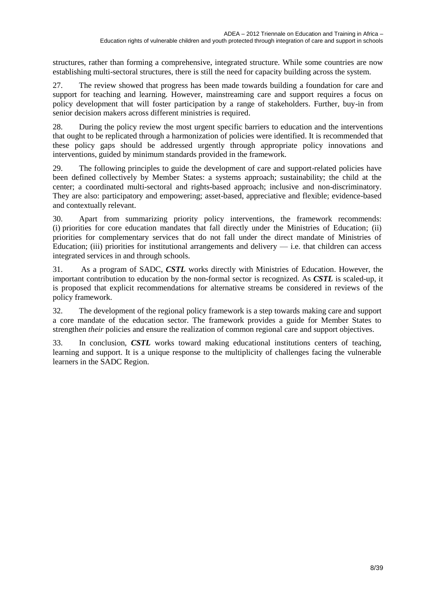structures, rather than forming a comprehensive, integrated structure. While some countries are now establishing multi-sectoral structures, there is still the need for capacity building across the system.

27. The review showed that progress has been made towards building a foundation for care and support for teaching and learning. However, mainstreaming care and support requires a focus on policy development that will foster participation by a range of stakeholders. Further, buy-in from senior decision makers across different ministries is required.

28. During the policy review the most urgent specific barriers to education and the interventions that ought to be replicated through a harmonization of policies were identified. It is recommended that these policy gaps should be addressed urgently through appropriate policy innovations and interventions, guided by minimum standards provided in the framework.

29. The following principles to guide the development of care and support-related policies have been defined collectively by Member States: a systems approach; sustainability; the child at the center; a coordinated multi-sectoral and rights-based approach; inclusive and non-discriminatory. They are also: participatory and empowering; asset-based, appreciative and flexible; evidence-based and contextually relevant.

30. Apart from summarizing priority policy interventions, the framework recommends: (i) priorities for core education mandates that fall directly under the Ministries of Education; (ii) priorities for complementary services that do not fall under the direct mandate of Ministries of Education; (iii) priorities for institutional arrangements and delivery  $-$  i.e. that children can access integrated services in and through schools.

31. As a program of SADC, *CSTL* works directly with Ministries of Education. However, the important contribution to education by the non-formal sector is recognized. As *CSTL* is scaled-up, it is proposed that explicit recommendations for alternative streams be considered in reviews of the policy framework.

32. The development of the regional policy framework is a step towards making care and support a core mandate of the education sector. The framework provides a guide for Member States to strengthen *their* policies and ensure the realization of common regional care and support objectives.

33. In conclusion, *CSTL* works toward making educational institutions centers of teaching, learning and support. It is a unique response to the multiplicity of challenges facing the vulnerable learners in the SADC Region.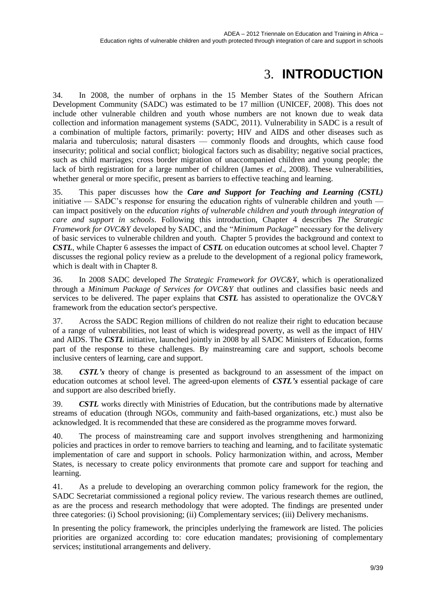# 3. **INTRODUCTION**

<span id="page-8-0"></span>34. In 2008, the number of orphans in the 15 Member States of the Southern African Development Community (SADC) was estimated to be 17 million (UNICEF, 2008). This does not include other vulnerable children and youth whose numbers are not known due to weak data collection and information management systems (SADC, 2011). Vulnerability in SADC is a result of a combination of multiple factors, primarily: poverty; HIV and AIDS and other diseases such as malaria and tuberculosis; natural disasters — commonly floods and droughts, which cause food insecurity; political and social conflict; biological factors such as disability; negative social practices, such as child marriages; cross border migration of unaccompanied children and young people; the lack of birth registration for a large number of children (James *et al*., 2008). These vulnerabilities, whether general or more specific, present as barriers to effective teaching and learning.

35. This paper discusses how the *Care and Support for Teaching and Learning (CSTL)* initiative — SADC's response for ensuring the education rights of vulnerable children and youth can impact positively on the *education rights of vulnerable children and youth through integration of care and support in schools*. Following this introduction, Chapter 4 describes *The Strategic Framework for OVC&Y* developed by SADC, and the "*Minimum Package*" necessary for the delivery of basic services to vulnerable children and youth. Chapter 5 provides the background and context to *CSTL*, while Chapter 6 assesses the impact of *CSTL* on education outcomes at school level. Chapter 7 discusses the regional policy review as a prelude to the development of a regional policy framework, which is dealt with in Chapter 8.

36. In 2008 SADC developed *The Strategic Framework for OVC&Y*, which is operationalized through a *Minimum Package of Services for OVC&Y* that outlines and classifies basic needs and services to be delivered. The paper explains that *CSTL* has assisted to operationalize the OVC&Y framework from the education sector's perspective.

37. Across the SADC Region millions of children do not realize their right to education because of a range of vulnerabilities, not least of which is widespread poverty, as well as the impact of HIV and AIDS. The *CSTL* initiative, launched jointly in 2008 by all SADC Ministers of Education, forms part of the response to these challenges. By mainstreaming care and support, schools become inclusive centers of learning, care and support.

38. *CSTL's* theory of change is presented as background to an assessment of the impact on education outcomes at school level. The agreed-upon elements of *CSTL's* essential package of care and support are also described briefly.

39. *CSTL* works directly with Ministries of Education, but the contributions made by alternative streams of education (through NGOs, community and faith-based organizations, etc.) must also be acknowledged. It is recommended that these are considered as the programme moves forward.

40. The process of mainstreaming care and support involves strengthening and harmonizing policies and practices in order to remove barriers to teaching and learning, and to facilitate systematic implementation of care and support in schools. Policy harmonization within, and across, Member States, is necessary to create policy environments that promote care and support for teaching and learning.

41. As a prelude to developing an overarching common policy framework for the region, the SADC Secretariat commissioned a regional policy review. The various research themes are outlined, as are the process and research methodology that were adopted. The findings are presented under three categories: (i) School provisioning; (ii) Complementary services; (iii) Delivery mechanisms.

In presenting the policy framework, the principles underlying the framework are listed. The policies priorities are organized according to: core education mandates; provisioning of complementary services; institutional arrangements and delivery.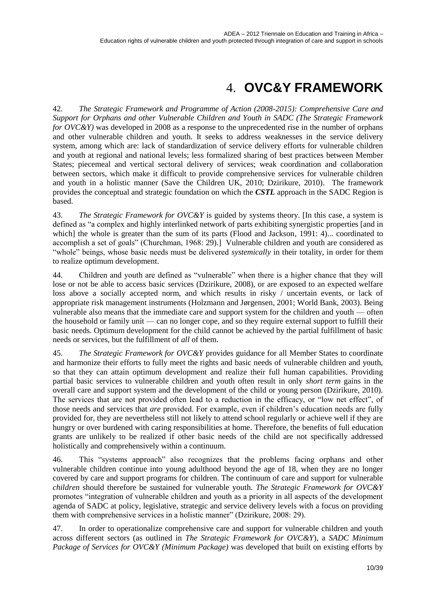# 4. **OVC&Y FRAMEWORK**

<span id="page-9-0"></span>42. *The Strategic Framework and Programme of Action (2008-2015): Comprehensive Care and Support for Orphans and other Vulnerable Children and Youth in SADC (The Strategic Framework for OVC&Y*) was developed in 2008 as a response to the unprecedented rise in the number of orphans and other vulnerable children and youth. It seeks to address weaknesses in the service delivery system, among which are: lack of standardization of service delivery efforts for vulnerable children and youth at regional and national levels; less formalized sharing of best practices between Member States; piecemeal and vertical sectoral delivery of services; weak coordination and collaboration between sectors, which make it difficult to provide comprehensive services for vulnerable children and youth in a holistic manner (Save the Children UK, 2010; Dzirikure, 2010). The framework provides the conceptual and strategic foundation on which the *CSTL* approach in the SADC Region is based.

43. *The Strategic Framework for OVC&Y* is guided by systems theory. [In this case, a system is defined as "a complex and highly interlinked network of parts exhibiting synergistic properties [and in which] the whole is greater than the sum of its parts (Flood and Jackson, 1991: 4)... coordinated to accomplish a set of goals" (Churchman, 1968: 29).] Vulnerable children and youth are considered as "whole" beings, whose basic needs must be delivered *systemically* in their totality, in order for them to realize optimum development.

44. Children and youth are defined as "vulnerable" when there is a higher chance that they will lose or not be able to access basic services (Dzirikure, 2008), or are exposed to an expected welfare loss above a socially accepted norm, and which results in risky / uncertain events, or lack of appropriate risk management instruments (Holzmann and Jørgensen, 2001; World Bank, 2003). Being vulnerable also means that the immediate care and support system for the children and youth — often the household or family unit — can no longer cope, and so they require external support to fulfill their basic needs. Optimum development for the child cannot be achieved by the partial fulfillment of basic needs or services, but the fulfillment of *all* of them.

45. *The Strategic Framework for OVC&Y* provides guidance for all Member States to coordinate and harmonize their efforts to fully meet the rights and basic needs of vulnerable children and youth, so that they can attain optimum development and realize their full human capabilities. Providing partial basic services to vulnerable children and youth often result in only *short term* gains in the overall care and support system and the development of the child or young person (Dzirikure, 2010). The services that are not provided often lead to a reduction in the efficacy, or "low net effect", of those needs and services that *are* provided. For example, even if children's education needs are fully provided for, they are nevertheless still not likely to attend school regularly or achieve well if they are hungry or over burdened with caring responsibilities at home. Therefore, the benefits of full education grants are unlikely to be realized if other basic needs of the child are not specifically addressed holistically and comprehensively within a continuum.

46. This "systems approach" also recognizes that the problems facing orphans and other vulnerable children continue into young adulthood beyond the age of 18, when they are no longer covered by care and support programs for children. The continuum of care and support for vulnerable *children* should therefore be sustained for vulnerable youth. *The Strategic Framework for OVC&Y* promotes "integration of vulnerable children and youth as a priority in all aspects of the development agenda of SADC at policy, legislative, strategic and service delivery levels with a focus on providing them with comprehensive services in a holistic manner" (Dzirikure, 2008: 29).

47. In order to operationalize comprehensive care and support for vulnerable children and youth across different sectors (as outlined in *The Strategic Framework for OVC&Y*), a *SADC Minimum Package of Services for OVC&Y (Minimum Package)* was developed that built on existing efforts by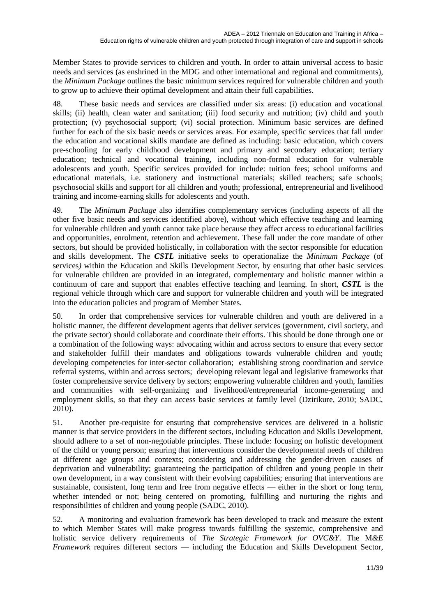Member States to provide services to children and youth. In order to attain universal access to basic needs and services (as enshrined in the MDG and other international and regional and commitments), the *Minimum Package* outlines the basic minimum services required for vulnerable children and youth to grow up to achieve their optimal development and attain their full capabilities.

48. These basic needs and services are classified under six areas: (i) education and vocational skills; (ii) health, clean water and sanitation; (iii) food security and nutrition; (iv) child and youth protection; (v) psychosocial support; (vi) social protection. Minimum basic services are defined further for each of the six basic needs or services areas. For example, specific services that fall under the education and vocational skills mandate are defined as including: basic education, which covers pre-schooling for early childhood development and primary and secondary education; tertiary education; technical and vocational training, including non-formal education for vulnerable adolescents and youth. Specific services provided for include: tuition fees; school uniforms and educational materials, i.e. stationery and instructional materials; skilled teachers; safe schools; psychosocial skills and support for all children and youth; professional, entrepreneurial and livelihood training and income-earning skills for adolescents and youth.

49. The *Minimum Package* also identifies complementary services (including aspects of all the other five basic needs and services identified above), without which effective teaching and learning for vulnerable children and youth cannot take place because they affect access to educational facilities and opportunities, enrolment, retention and achievement. These fall under the core mandate of other sectors, but should be provided holistically, in collaboration with the sector responsible for education and skills development. The *CSTL* initiative seeks to operationalize the *Minimum Package* (of services*)* within the Education and Skills Development Sector, by ensuring that other basic services for vulnerable children are provided in an integrated, complementary and holistic manner within a continuum of care and support that enables effective teaching and learning. In short, *CSTL* is the regional vehicle through which care and support for vulnerable children and youth will be integrated into the education policies and program of Member States.

50. In order that comprehensive services for vulnerable children and youth are delivered in a holistic manner, the different development agents that deliver services (government, civil society, and the private sector) should collaborate and coordinate their efforts. This should be done through one or a combination of the following ways: advocating within and across sectors to ensure that every sector and stakeholder fulfill their mandates and obligations towards vulnerable children and youth; developing competencies for inter-sector collaboration; establishing strong coordination and service referral systems, within and across sectors; developing relevant legal and legislative frameworks that foster comprehensive service delivery by sectors; empowering vulnerable children and youth, families and communities with self-organizing and livelihood/entrepreneurial income-generating and employment skills, so that they can access basic services at family level (Dzirikure, 2010; SADC, 2010).

51. Another pre-requisite for ensuring that comprehensive services are delivered in a holistic manner is that service providers in the different sectors, including Education and Skills Development, should adhere to a set of non-negotiable principles. These include: focusing on holistic development of the child or young person; ensuring that interventions consider the developmental needs of children at different age groups and contexts; considering and addressing the gender-driven causes of deprivation and vulnerability; guaranteeing the participation of children and young people in their own development, in a way consistent with their evolving capabilities; ensuring that interventions are sustainable, consistent, long term and free from negative effects — either in the short or long term, whether intended or not; being centered on promoting, fulfilling and nurturing the rights and responsibilities of children and young people (SADC, 2010).

52. A monitoring and evaluation framework has been developed to track and measure the extent to which Member States will make progress towards fulfilling the systemic, comprehensive and holistic service delivery requirements of *The Strategic Framework for OVC&Y*. The M*&E Framework* requires different sectors — including the Education and Skills Development Sector,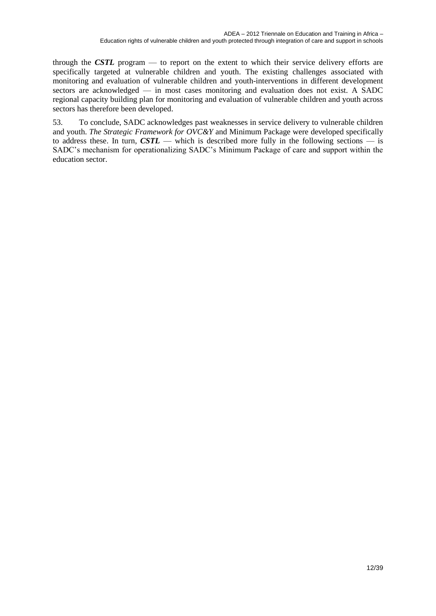through the *CSTL* program — to report on the extent to which their service delivery efforts are specifically targeted at vulnerable children and youth. The existing challenges associated with monitoring and evaluation of vulnerable children and youth-interventions in different development sectors are acknowledged — in most cases monitoring and evaluation does not exist. A SADC regional capacity building plan for monitoring and evaluation of vulnerable children and youth across sectors has therefore been developed.

53. To conclude, SADC acknowledges past weaknesses in service delivery to vulnerable children and youth. *The Strategic Framework for OVC&Y* and Minimum Package were developed specifically to address these. In turn,  $\text{CSTL}$  — which is described more fully in the following sections — is SADC's mechanism for operationalizing SADC's Minimum Package of care and support within the education sector.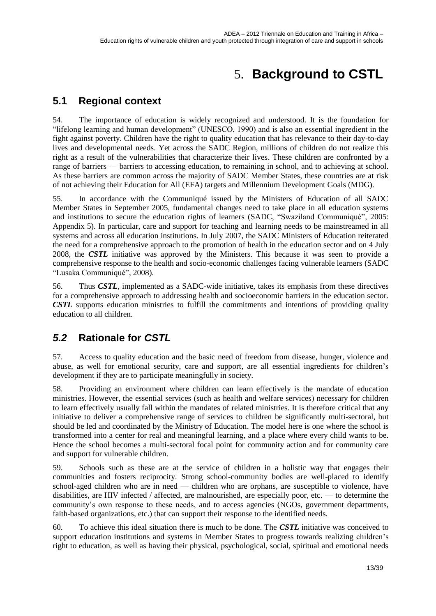# 5. **Background to CSTL**

## <span id="page-12-1"></span><span id="page-12-0"></span>**5.1 Regional context**

54. The importance of education is widely recognized and understood. It is the foundation for "lifelong learning and human development" (UNESCO, 1990) and is also an essential ingredient in the fight against poverty. Children have the right to quality education that has relevance to their day-to-day lives and developmental needs. Yet across the SADC Region, millions of children do not realize this right as a result of the vulnerabilities that characterize their lives. These children are confronted by a range of barriers — barriers to accessing education, to remaining in school, and to achieving at school. As these barriers are common across the majority of SADC Member States, these countries are at risk of not achieving their Education for All (EFA) targets and Millennium Development Goals (MDG).

55. In accordance with the Communiqué issued by the Ministers of Education of all SADC Member States in September 2005, fundamental changes need to take place in all education systems and institutions to secure the education rights of learners (SADC, "Swaziland Communiqué", 2005: Appendix 5). In particular, care and support for teaching and learning needs to be mainstreamed in all systems and across all education institutions. In July 2007, the SADC Ministers of Education reiterated the need for a comprehensive approach to the promotion of health in the education sector and on 4 July 2008, the *CSTL* initiative was approved by the Ministers. This because it was seen to provide a comprehensive response to the health and socio-economic challenges facing vulnerable learners (SADC "Lusaka Communiqué", 2008).

56. Thus *CSTL*, implemented as a SADC-wide initiative, takes its emphasis from these directives for a comprehensive approach to addressing health and socioeconomic barriers in the education sector. *CSTL* supports education ministries to fulfill the commitments and intentions of providing quality education to all children.

## <span id="page-12-2"></span>*5.2* **Rationale for** *CSTL*

57. Access to quality education and the basic need of freedom from disease, hunger, violence and abuse, as well for emotional security, care and support, are all essential ingredients for children's development if they are to participate meaningfully in society.

58. Providing an environment where children can learn effectively is the mandate of education ministries. However, the essential services (such as health and welfare services) necessary for children to learn effectively usually fall within the mandates of related ministries. It is therefore critical that any initiative to deliver a comprehensive range of services to children be significantly multi-sectoral, but should be led and coordinated by the Ministry of Education. The model here is one where the school is transformed into a center for real and meaningful learning, and a place where every child wants to be. Hence the school becomes a multi-sectoral focal point for community action and for community care and support for vulnerable children.

59. Schools such as these are at the service of children in a holistic way that engages their communities and fosters reciprocity. Strong school-community bodies are well-placed to identify school-aged children who are in need — children who are orphans, are susceptible to violence, have disabilities, are HIV infected / affected, are malnourished, are especially poor, etc. — to determine the community's own response to these needs, and to access agencies (NGOs, government departments, faith-based organizations, etc.) that can support their response to the identified needs.

60. To achieve this ideal situation there is much to be done. The *CSTL* initiative was conceived to support education institutions and systems in Member States to progress towards realizing children's right to education, as well as having their physical, psychological, social, spiritual and emotional needs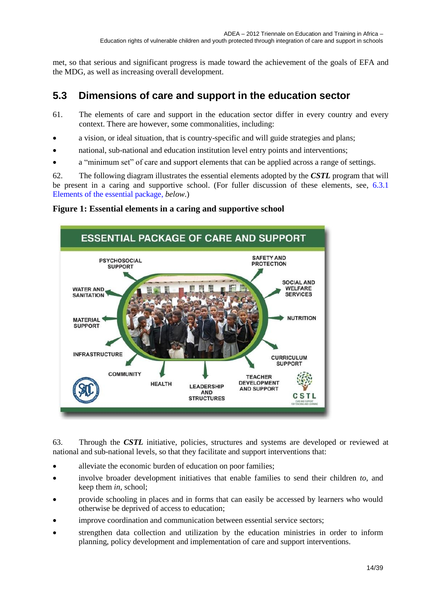met, so that serious and significant progress is made toward the achievement of the goals of EFA and the MDG, as well as increasing overall development.

## <span id="page-13-0"></span>**5.3 Dimensions of care and support in the education sector**

- 61. The elements of care and support in the education sector differ in every country and every context. There are however, some commonalities, including:
- a vision, or ideal situation, that is country-specific and will guide strategies and plans;
- national, sub-national and education institution level entry points and interventions;
- a "minimum set" of care and support elements that can be applied across a range of settings.

62. The following diagram illustrates the essential elements adopted by the *CSTL* program that will be present in a caring and supportive school. (For fuller discussion of these elements, see, [6.3.1](#page-18-1)) [Elements of the essential package,](#page-18-1) *below*.)

### <span id="page-13-1"></span>**Figure 1: Essential elements in a caring and supportive school**



63. Through the *CSTL* initiative, policies, structures and systems are developed or reviewed at national and sub-national levels, so that they facilitate and support interventions that:

- alleviate the economic burden of education on poor families;
- involve broader development initiatives that enable families to send their children *to*, and keep them *in*, school;
- provide schooling in places and in forms that can easily be accessed by learners who would otherwise be deprived of access to education;
- improve coordination and communication between essential service sectors;
- strengthen data collection and utilization by the education ministries in order to inform planning, policy development and implementation of care and support interventions.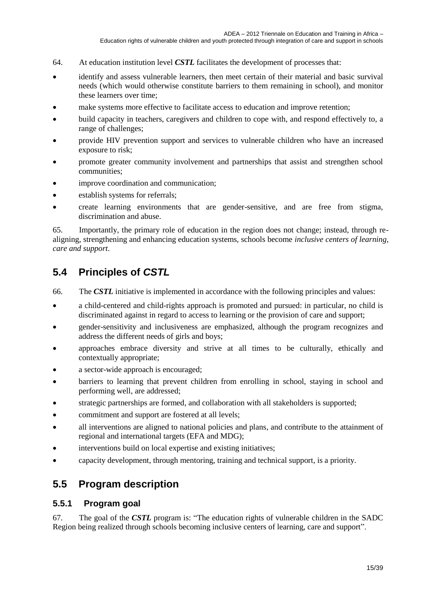- 64. At education institution level *CSTL* facilitates the development of processes that:
- identify and assess vulnerable learners, then meet certain of their material and basic survival needs (which would otherwise constitute barriers to them remaining in school), and monitor these learners over time;
- make systems more effective to facilitate access to education and improve retention;
- build capacity in teachers, caregivers and children to cope with, and respond effectively to, a range of challenges;
- provide HIV prevention support and services to vulnerable children who have an increased exposure to risk;
- promote greater community involvement and partnerships that assist and strengthen school communities;
- improve coordination and communication;
- establish systems for referrals;
- create learning environments that are gender-sensitive, and are free from stigma, discrimination and abuse.

65. Importantly, the primary role of education in the region does not change; instead, through realigning, strengthening and enhancing education systems, schools become *inclusive centers of learning, care and support*.

## <span id="page-14-0"></span>**5.4 Principles of** *CSTL*

- 66. The *CSTL* initiative is implemented in accordance with the following principles and values:
- a child-centered and child-rights approach is promoted and pursued: in particular, no child is discriminated against in regard to access to learning or the provision of care and support;
- gender-sensitivity and inclusiveness are emphasized, although the program recognizes and address the different needs of girls and boys;
- approaches embrace diversity and strive at all times to be culturally, ethically and contextually appropriate;
- a sector-wide approach is encouraged;
- barriers to learning that prevent children from enrolling in school, staying in school and performing well, are addressed;
- strategic partnerships are formed, and collaboration with all stakeholders is supported;
- commitment and support are fostered at all levels;
- all interventions are aligned to national policies and plans, and contribute to the attainment of regional and international targets (EFA and MDG);
- interventions build on local expertise and existing initiatives;
- <span id="page-14-1"></span>capacity development, through mentoring, training and technical support, is a priority.

### **5.5 Program description**

### <span id="page-14-2"></span>**5.5.1 Program goal**

67. The goal of the *CSTL* program is: "The education rights of vulnerable children in the SADC Region being realized through schools becoming inclusive centers of learning, care and support".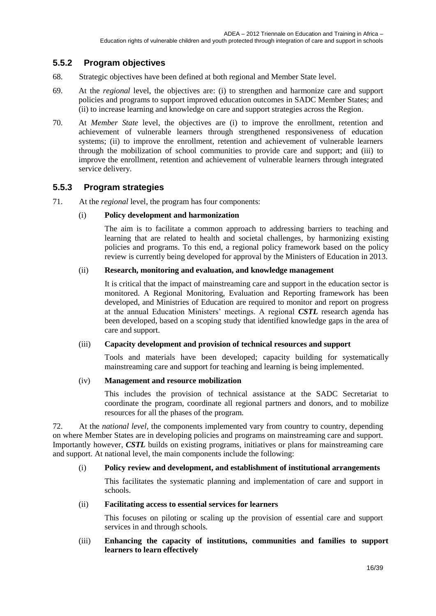### <span id="page-15-0"></span>**5.5.2 Program objectives**

- 68. Strategic objectives have been defined at both regional and Member State level.
- 69. At the *regional* level, the objectives are: (i) to strengthen and harmonize care and support policies and programs to support improved education outcomes in SADC Member States; and (ii) to increase learning and knowledge on care and support strategies across the Region.
- 70. At *Member State* level, the objectives are (i) to improve the enrollment, retention and achievement of vulnerable learners through strengthened responsiveness of education systems; (ii) to improve the enrollment, retention and achievement of vulnerable learners through the mobilization of school communities to provide care and support; and (iii) to improve the enrollment, retention and achievement of vulnerable learners through integrated service delivery.

### <span id="page-15-1"></span>**5.5.3 Program strategies**

71. At the *regional* level, the program has four components:

### (i) **Policy development and harmonization**

The aim is to facilitate a common approach to addressing barriers to teaching and learning that are related to health and societal challenges, by harmonizing existing policies and programs. To this end, a regional policy framework based on the policy review is currently being developed for approval by the Ministers of Education in 2013.

### (ii) **Research, monitoring and evaluation, and knowledge management**

It is critical that the impact of mainstreaming care and support in the education sector is monitored. A Regional Monitoring, Evaluation and Reporting framework has been developed, and Ministries of Education are required to monitor and report on progress at the annual Education Ministers' meetings. A regional *CSTL* research agenda has been developed, based on a scoping study that identified knowledge gaps in the area of care and support.

### (iii) **Capacity development and provision of technical resources and support**

Tools and materials have been developed; capacity building for systematically mainstreaming care and support for teaching and learning is being implemented.

### (iv) **Management and resource mobilization**

This includes the provision of technical assistance at the SADC Secretariat to coordinate the program, coordinate all regional partners and donors, and to mobilize resources for all the phases of the program.

72. At the *national level,* the components implemented vary from country to country, depending on where Member States are in developing policies and programs on mainstreaming care and support. Importantly however, *CSTL* builds on existing programs, initiatives or plans for mainstreaming care and support. At national level, the main components include the following:

### (i) **Policy review and development, and establishment of institutional arrangements**

This facilitates the systematic planning and implementation of care and support in schools.

### (ii) **Facilitating access to essential services for learners**

This focuses on piloting or scaling up the provision of essential care and support services in and through schools.

### (iii) **Enhancing the capacity of institutions, communities and families to support learners to learn effectively**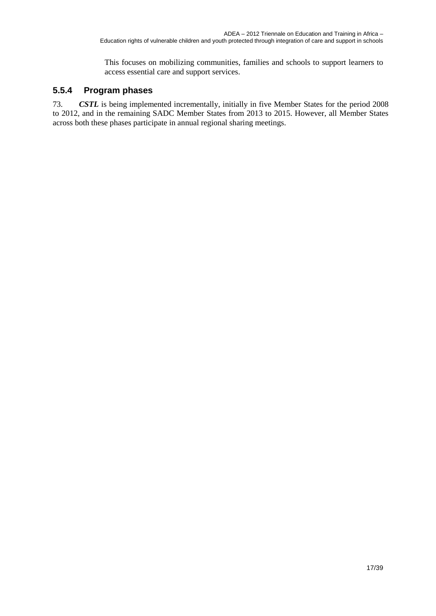This focuses on mobilizing communities, families and schools to support learners to access essential care and support services.

### <span id="page-16-0"></span>**5.5.4 Program phases**

73. *CSTL* is being implemented incrementally, initially in five Member States for the period 2008 to 2012, and in the remaining SADC Member States from 2013 to 2015. However, all Member States across both these phases participate in annual regional sharing meetings.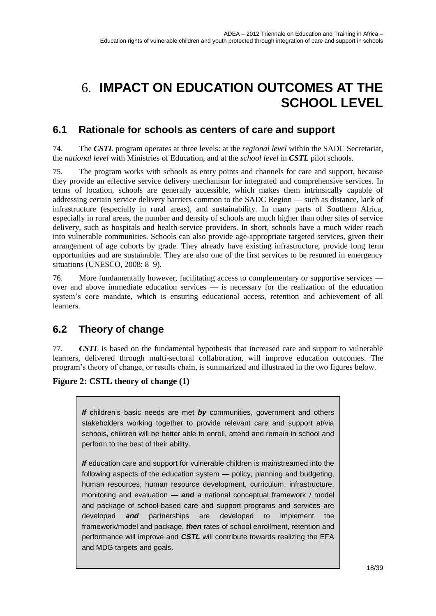# <span id="page-17-0"></span>6. **IMPACT ON EDUCATION OUTCOMES AT THE SCHOOL LEVEL**

## <span id="page-17-1"></span>**6.1 Rationale for schools as centers of care and support**

74. The *CSTL* program operates at three levels: at the *regional level* within the SADC Secretariat, the *national level* with Ministries of Education, and at the *school level* in *CSTL* pilot schools.

75. The program works with schools as entry points and channels for care and support, because they provide an effective service delivery mechanism for integrated and comprehensive services. In terms of location, schools are generally accessible, which makes them intrinsically capable of addressing certain service delivery barriers common to the SADC Region — such as distance, lack of infrastructure (especially in rural areas), and sustainability. In many parts of Southern Africa, especially in rural areas, the number and density of schools are much higher than other sites of service delivery, such as hospitals and health-service providers. In short, schools have a much wider reach into vulnerable communities. Schools can also provide age-appropriate targeted services, given their arrangement of age cohorts by grade. They already have existing infrastructure, provide long term opportunities and are sustainable. They are also one of the first services to be resumed in emergency situations (UNESCO, 2008: 8–9).

76. More fundamentally however, facilitating access to complementary or supportive services over and above immediate education services — is necessary for the realization of the education system's core mandate, which is ensuring educational access, retention and achievement of all learners.

## <span id="page-17-2"></span>**6.2 Theory of change**

77. *CSTL* is based on the fundamental hypothesis that increased care and support to vulnerable learners, delivered through multi-sectoral collaboration, will improve education outcomes. The program's theory of change, or results chain, is summarized and illustrated in the two figures below.

<span id="page-17-3"></span>**Figure 2: CSTL theory of change (1)**

*If* children's basic needs are met *by* communities, government and others stakeholders working together to provide relevant care and support at/via schools, children will be better able to enroll, attend and remain in school and perform to the best of their ability.

*If* education care and support for vulnerable children is mainstreamed into the following aspects of the education system — policy, planning and budgeting, human resources, human resource development, curriculum, infrastructure, monitoring and evaluation — *and* a national conceptual framework / model and package of school-based care and support programs and services are developed *and* partnerships are developed to implement the framework/model and package, *then* rates of school enrollment, retention and performance will improve and *CSTL* will contribute towards realizing the EFA and MDG targets and goals.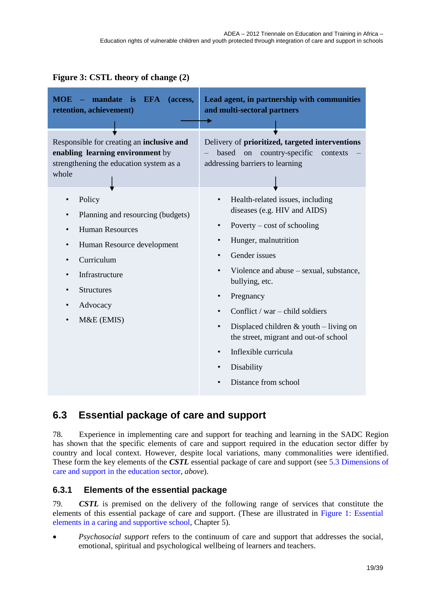### <span id="page-18-2"></span>**Figure 3: CSTL theory of change (2)**

| - mandate is EFA<br><b>MOE</b><br>(access,<br>retention, achievement)                                                                                                                                                                                    | Lead agent, in partnership with communities<br>and multi-sectoral partners                                                                                                                                                                                                                                                                                                                                                                                                                                                                 |
|----------------------------------------------------------------------------------------------------------------------------------------------------------------------------------------------------------------------------------------------------------|--------------------------------------------------------------------------------------------------------------------------------------------------------------------------------------------------------------------------------------------------------------------------------------------------------------------------------------------------------------------------------------------------------------------------------------------------------------------------------------------------------------------------------------------|
| Responsible for creating an inclusive and<br>enabling learning environment by<br>strengthening the education system as a<br>whole                                                                                                                        | Delivery of prioritized, targeted interventions<br>based on<br>country-specific<br>contexts<br>addressing barriers to learning                                                                                                                                                                                                                                                                                                                                                                                                             |
| Policy<br>Planning and resourcing (budgets)<br>$\bullet$<br><b>Human Resources</b><br>$\bullet$<br>Human Resource development<br>$\bullet$<br>Curriculum<br>Infrastructure<br><b>Structures</b><br>٠<br>Advocacy<br>$\bullet$<br>M&E (EMIS)<br>$\bullet$ | Health-related issues, including<br>$\bullet$<br>diseases (e.g. HIV and AIDS)<br>Poverty – cost of schooling<br>$\bullet$<br>Hunger, malnutrition<br>$\bullet$<br>Gender issues<br>$\bullet$<br>Violence and abuse – sexual, substance,<br>$\bullet$<br>bullying, etc.<br>Pregnancy<br>$\bullet$<br>Conflict / war – child soldiers<br>$\bullet$<br>Displaced children $&$ youth – living on<br>$\bullet$<br>the street, migrant and out-of school<br>Inflexible curricula<br>$\bullet$<br>Disability<br>$\bullet$<br>Distance from school |

## <span id="page-18-0"></span>**6.3 Essential package of care and support**

78. Experience in implementing care and support for teaching and learning in the SADC Region has shown that the specific elements of care and support required in the education sector differ by country and local context. However, despite local variations, many commonalities were identified. These form the key elements of the *CSTL* essential package of care and support (see [5.3](#page-13-0) [Dimensions of](#page-13-0)  [care and support in the education sector,](#page-13-0) *above*).

### <span id="page-18-1"></span>**6.3.1 Elements of the essential package**

79. *CSTL* is premised on the delivery of the following range of services that constitute the elements of this essential package of care and support. (These are illustrated in [Figure 1: Essential](#page-13-1)  [elements in a caring and supportive school,](#page-13-1) Chapter 5).

 *Psychosocial support* refers to the continuum of care and support that addresses the social, emotional, spiritual and psychological wellbeing of learners and teachers.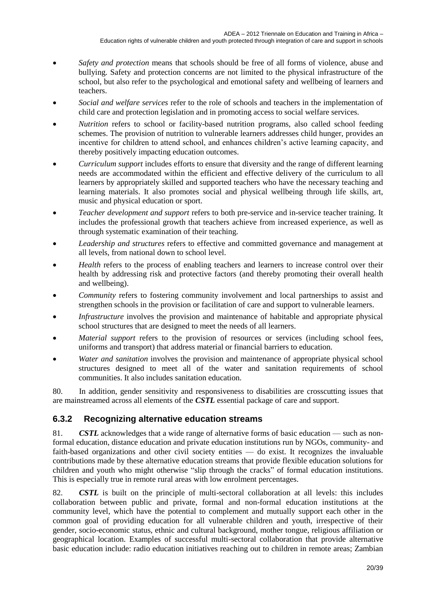- *Safety and protection* means that schools should be free of all forms of violence, abuse and bullying. Safety and protection concerns are not limited to the physical infrastructure of the school, but also refer to the psychological and emotional safety and wellbeing of learners and teachers.
- *Social and welfare services* refer to the role of schools and teachers in the implementation of child care and protection legislation and in promoting access to social welfare services.
- *Nutrition* refers to school or facility-based nutrition programs, also called school feeding schemes. The provision of nutrition to vulnerable learners addresses child hunger, provides an incentive for children to attend school, and enhances children's active learning capacity, and thereby positively impacting education outcomes.
- *Curriculum support* includes efforts to ensure that diversity and the range of different learning needs are accommodated within the efficient and effective delivery of the curriculum to all learners by appropriately skilled and supported teachers who have the necessary teaching and learning materials. It also promotes social and physical wellbeing through life skills, art, music and physical education or sport.
- *Teacher development and support* refers to both pre-service and in-service teacher training. It includes the professional growth that teachers achieve from increased experience, as well as through systematic examination of their teaching.
- *Leadership and structures* refers to effective and committed governance and management at all levels, from national down to school level.
- *Health* refers to the process of enabling teachers and learners to increase control over their health by addressing risk and protective factors (and thereby promoting their overall health and wellbeing).
- *Community* refers to fostering community involvement and local partnerships to assist and strengthen schools in the provision or facilitation of care and support to vulnerable learners.
- *Infrastructure* involves the provision and maintenance of habitable and appropriate physical school structures that are designed to meet the needs of all learners.
- *Material support* refers to the provision of resources or services (including school fees, uniforms and transport) that address material or financial barriers to education.
- *Water and sanitation* involves the provision and maintenance of appropriate physical school structures designed to meet all of the water and sanitation requirements of school communities. It also includes sanitation education.

80. In addition, gender sensitivity and responsiveness to disabilities are crosscutting issues that are mainstreamed across all elements of the *CSTL* essential package of care and support.

### <span id="page-19-0"></span>**6.3.2 Recognizing alternative education streams**

81. *CSTL* acknowledges that a wide range of alternative forms of basic education — such as nonformal education, distance education and private education institutions run by NGOs, community- and faith-based organizations and other civil society entities — do exist. It recognizes the invaluable contributions made by these alternative education streams that provide flexible education solutions for children and youth who might otherwise "slip through the cracks" of formal education institutions. This is especially true in remote rural areas with low enrolment percentages.

82. *CSTL* is built on the principle of multi-sectoral collaboration at all levels: this includes collaboration between public and private, formal and non-formal education institutions at the community level, which have the potential to complement and mutually support each other in the common goal of providing education for all vulnerable children and youth, irrespective of their gender, socio-economic status, ethnic and cultural background, mother tongue, religious affiliation or geographical location. Examples of successful multi-sectoral collaboration that provide alternative basic education include: radio education initiatives reaching out to children in remote areas; Zambian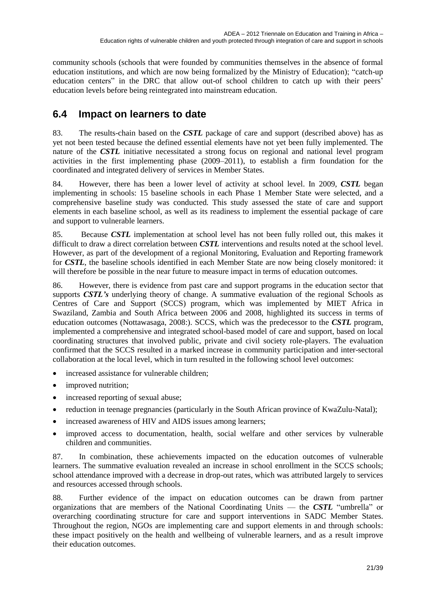community schools (schools that were founded by communities themselves in the absence of formal education institutions, and which are now being formalized by the Ministry of Education); "catch-up education centers" in the DRC that allow out-of school children to catch up with their peers' education levels before being reintegrated into mainstream education.

## <span id="page-20-0"></span>**6.4 Impact on learners to date**

83. The results-chain based on the *CSTL* package of care and support (described above) has as yet not been tested because the defined essential elements have not yet been fully implemented. The nature of the *CSTL* initiative necessitated a strong focus on regional and national level program activities in the first implementing phase (2009–2011), to establish a firm foundation for the coordinated and integrated delivery of services in Member States.

84. However, there has been a lower level of activity at school level. In 2009, *CSTL* began implementing in schools: 15 baseline schools in each Phase 1 Member State were selected, and a comprehensive baseline study was conducted. This study assessed the state of care and support elements in each baseline school, as well as its readiness to implement the essential package of care and support to vulnerable learners.

85. Because *CSTL* implementation at school level has not been fully rolled out, this makes it difficult to draw a direct correlation between *CSTL* interventions and results noted at the school level. However, as part of the development of a regional Monitoring, Evaluation and Reporting framework for *CSTL*, the baseline schools identified in each Member State are now being closely monitored: it will therefore be possible in the near future to measure impact in terms of education outcomes.

86. However, there is evidence from past care and support programs in the education sector that supports *CSTL's* underlying theory of change. A summative evaluation of the regional Schools as Centres of Care and Support (SCCS) program, which was implemented by MIET Africa in Swaziland, Zambia and South Africa between 2006 and 2008, highlighted its success in terms of education outcomes (Nottawasaga, 2008:). SCCS, which was the predecessor to the *CSTL* program, implemented a comprehensive and integrated school-based model of care and support, based on local coordinating structures that involved public, private and civil society role-players. The evaluation confirmed that the SCCS resulted in a marked increase in community participation and inter-sectoral collaboration at the local level, which in turn resulted in the following school level outcomes:

- increased assistance for vulnerable children;
- improved nutrition;
- increased reporting of sexual abuse;
- reduction in teenage pregnancies (particularly in the South African province of KwaZulu-Natal);
- increased awareness of HIV and AIDS issues among learners;
- improved access to documentation, health, social welfare and other services by vulnerable children and communities.

87. In combination, these achievements impacted on the education outcomes of vulnerable learners. The summative evaluation revealed an increase in school enrollment in the SCCS schools; school attendance improved with a decrease in drop-out rates, which was attributed largely to services and resources accessed through schools.

88. Further evidence of the impact on education outcomes can be drawn from partner organizations that are members of the National Coordinating Units — the *CSTL* "umbrella" or overarching coordinating structure for care and support interventions in SADC Member States. Throughout the region, NGOs are implementing care and support elements in and through schools: these impact positively on the health and wellbeing of vulnerable learners, and as a result improve their education outcomes.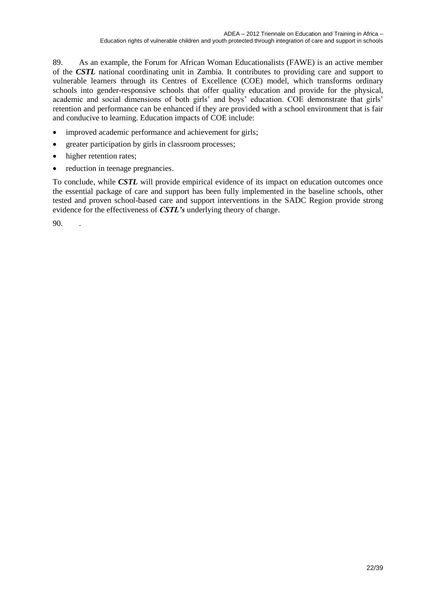89. As an example, the Forum for African Woman Educationalists (FAWE) is an active member of the *CSTL* national coordinating unit in Zambia. It contributes to providing care and support to vulnerable learners through its Centres of Excellence (COE) model, which transforms ordinary schools into gender-responsive schools that offer quality education and provide for the physical, academic and social dimensions of both girls' and boys' education. COE demonstrate that girls' retention and performance can be enhanced if they are provided with a school environment that is fair and conducive to learning. Education impacts of COE include:

- improved academic performance and achievement for girls;
- greater participation by girls in classroom processes;
- higher retention rates;
- reduction in teenage pregnancies.

To conclude, while *CSTL* will provide empirical evidence of its impact on education outcomes once the essential package of care and support has been fully implemented in the baseline schools, other tested and proven school-based care and support interventions in the SADC Region provide strong evidence for the effectiveness of *CSTL's* underlying theory of change.

90. .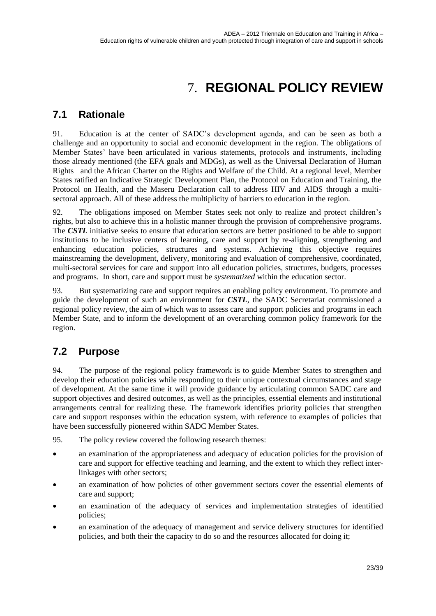# 7. **REGIONAL POLICY REVIEW**

## <span id="page-22-1"></span><span id="page-22-0"></span>**7.1 Rationale**

91. Education is at the center of SADC's development agenda, and can be seen as both a challenge and an opportunity to social and economic development in the region. The obligations of Member States' have been articulated in various statements, protocols and instruments, including those already mentioned (the EFA goals and MDGs), as well as the Universal Declaration of Human Rights and the African Charter on the Rights and Welfare of the Child. At a regional level, Member States ratified an Indicative Strategic Development Plan, the Protocol on Education and Training, the Protocol on Health, and the Maseru Declaration call to address HIV and AIDS through a multisectoral approach. All of these address the multiplicity of barriers to education in the region.

92. The obligations imposed on Member States seek not only to realize and protect children's rights, but also to achieve this in a holistic manner through the provision of comprehensive programs. The *CSTL* initiative seeks to ensure that education sectors are better positioned to be able to support institutions to be inclusive centers of learning, care and support by re-aligning, strengthening and enhancing education policies, structures and systems. Achieving this objective requires mainstreaming the development, delivery, monitoring and evaluation of comprehensive, coordinated, multi-sectoral services for care and support into all education policies, structures, budgets, processes and programs. In short, care and support must be *systematized* within the education sector.

93. But systematizing care and support requires an enabling policy environment. To promote and guide the development of such an environment for *CSTL*, the SADC Secretariat commissioned a regional policy review, the aim of which was to assess care and support policies and programs in each Member State, and to inform the development of an overarching common policy framework for the region.

## <span id="page-22-2"></span>**7.2 Purpose**

94. The purpose of the regional policy framework is to guide Member States to strengthen and develop their education policies while responding to their unique contextual circumstances and stage of development. At the same time it will provide guidance by articulating common SADC care and support objectives and desired outcomes, as well as the principles, essential elements and institutional arrangements central for realizing these. The framework identifies priority policies that strengthen care and support responses within the education system, with reference to examples of policies that have been successfully pioneered within SADC Member States.

95. The policy review covered the following research themes:

- an examination of the appropriateness and adequacy of education policies for the provision of care and support for effective teaching and learning, and the extent to which they reflect interlinkages with other sectors;
- an examination of how policies of other government sectors cover the essential elements of care and support;
- an examination of the adequacy of services and implementation strategies of identified policies;
- an examination of the adequacy of management and service delivery structures for identified policies, and both their the capacity to do so and the resources allocated for doing it;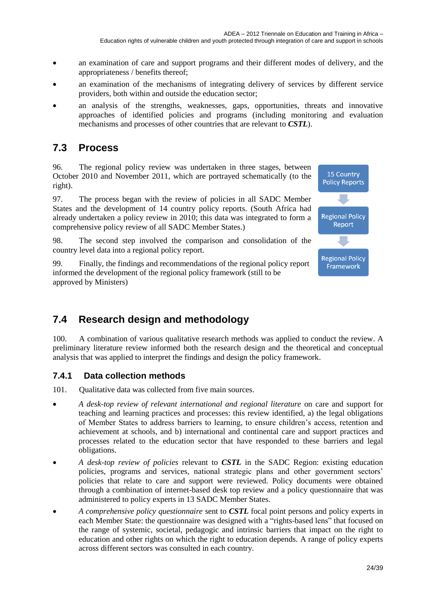- an examination of care and support programs and their different modes of delivery, and the appropriateness / benefits thereof;
- an examination of the mechanisms of integrating delivery of services by different service providers, both within and outside the education sector;
- an analysis of the strengths, weaknesses, gaps, opportunities, threats and innovative approaches of identified policies and programs (including monitoring and evaluation mechanisms and processes of other countries that are relevant to *CSTL*).

### <span id="page-23-0"></span>**7.3 Process**

96. The regional policy review was undertaken in three stages, between October 2010 and November 2011, which are portrayed schematically (to the right).

97. The process began with the review of policies in all SADC Member States and the development of 14 country policy reports. (South Africa had already undertaken a policy review in 2010; this data was integrated to form a comprehensive policy review of all SADC Member States.)

98. The second step involved the comparison and consolidation of the country level data into a regional policy report.

99. Finally, the findings and recommendations of the regional policy report informed the development of the regional policy framework (still to be approved by Ministers)

## <span id="page-23-1"></span>**7.4 Research design and methodology**

100. A combination of various qualitative research methods was applied to conduct the review. A preliminary literature review informed both the research design and the theoretical and conceptual analysis that was applied to interpret the findings and design the policy framework.

### <span id="page-23-2"></span>**7.4.1 Data collection methods**

101. Oualitative data was collected from five main sources.

- *A desk-top review of relevant international and regional literature* on care and support for teaching and learning practices and processes: this review identified, a) the legal obligations of Member States to address barriers to learning, to ensure children's access, retention and achievement at schools, and b) international and continental care and support practices and processes related to the education sector that have responded to these barriers and legal obligations.
- *A desk-top review of policies* relevant to *CSTL* in the SADC Region: existing education policies, programs and services, national strategic plans and other government sectors' policies that relate to care and support were reviewed. Policy documents were obtained through a combination of internet-based desk top review and a policy questionnaire that was administered to policy experts in 13 SADC Member States.
- *A comprehensive policy questionnaire* sent to *CSTL* focal point persons and policy experts in each Member State: the questionnaire was designed with a "rights-based lens" that focused on the range of systemic, societal, pedagogic and intrinsic barriers that impact on the right to education and other rights on which the right to education depends. A range of policy experts across different sectors was consulted in each country.

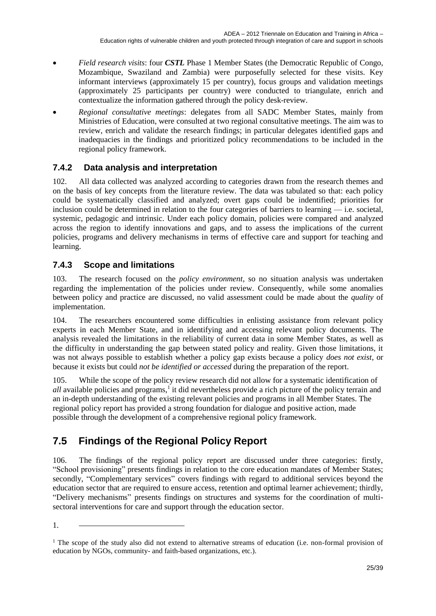- *Field research visits*: four *CSTL* Phase 1 Member States (the Democratic Republic of Congo, Mozambique, Swaziland and Zambia) were purposefully selected for these visits. Key informant interviews (approximately 15 per country), focus groups and validation meetings (approximately 25 participants per country) were conducted to triangulate, enrich and contextualize the information gathered through the policy desk-review.
- *Regional consultative meetings*: delegates from all SADC Member States, mainly from Ministries of Education, were consulted at two regional consultative meetings. The aim was to review, enrich and validate the research findings; in particular delegates identified gaps and inadequacies in the findings and prioritized policy recommendations to be included in the regional policy framework.

### <span id="page-24-0"></span>**7.4.2 Data analysis and interpretation**

102. All data collected was analyzed according to categories drawn from the research themes and on the basis of key concepts from the literature review. The data was tabulated so that: each policy could be systematically classified and analyzed; overt gaps could be indentified; priorities for inclusion could be determined in relation to the four categories of barriers to learning — i.e. societal, systemic, pedagogic and intrinsic. Under each policy domain, policies were compared and analyzed across the region to identify innovations and gaps, and to assess the implications of the current policies, programs and delivery mechanisms in terms of effective care and support for teaching and learning.

### <span id="page-24-1"></span>**7.4.3 Scope and limitations**

103. The research focused on the *policy environment*, so no situation analysis was undertaken regarding the implementation of the policies under review. Consequently, while some anomalies between policy and practice are discussed, no valid assessment could be made about the *quality* of implementation.

104. The researchers encountered some difficulties in enlisting assistance from relevant policy experts in each Member State, and in identifying and accessing relevant policy documents. The analysis revealed the limitations in the reliability of current data in some Member States, as well as the difficulty in understanding the gap between stated policy and reality. Given those limitations, it was not always possible to establish whether a policy gap exists because a policy *does not exist,* or because it exists but could *not be identified or accessed* during the preparation of the report.

105. While the scope of the policy review research did not allow for a systematic identification of all available policies and programs,<sup>1</sup> it did nevertheless provide a rich picture of the policy terrain and an in-depth understanding of the existing relevant policies and programs in all Member States. The regional policy report has provided a strong foundation for dialogue and positive action, made possible through the development of a comprehensive regional policy framework.

## <span id="page-24-2"></span>**7.5 Findings of the Regional Policy Report**

106. The findings of the regional policy report are discussed under three categories: firstly, "School provisioning" presents findings in relation to the core education mandates of Member States; secondly, "Complementary services" covers findings with regard to additional services beyond the education sector that are required to ensure access, retention and optimal learner achievement; thirdly, "Delivery mechanisms" presents findings on structures and systems for the coordination of multisectoral interventions for care and support through the education sector.

1.

<sup>&</sup>lt;sup>1</sup> The scope of the study also did not extend to alternative streams of education (i.e. non-formal provision of education by NGOs, community- and faith-based organizations, etc.).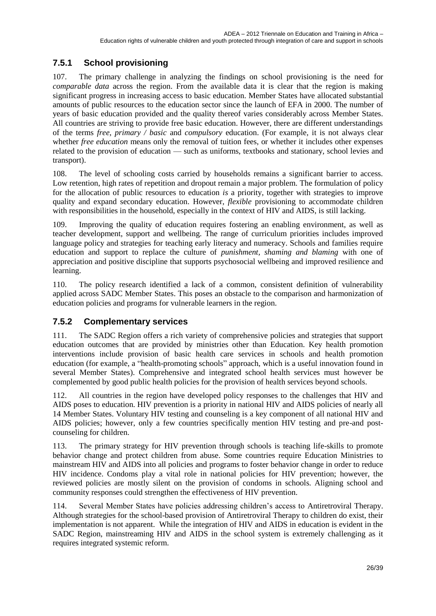### <span id="page-25-0"></span>**7.5.1 School provisioning**

107. The primary challenge in analyzing the findings on school provisioning is the need for *comparable data* across the region. From the available data it is clear that the region is making significant progress in increasing access to basic education. Member States have allocated substantial amounts of public resources to the education sector since the launch of EFA in 2000. The number of years of basic education provided and the quality thereof varies considerably across Member States. All countries are striving to provide free basic education. However, there are different understandings of the terms *free, primary / basic* and *compulsory* education. (For example, it is not always clear whether *free education* means only the removal of tuition fees, or whether it includes other expenses related to the provision of education — such as uniforms, textbooks and stationary, school levies and transport).

108. The level of schooling costs carried by households remains a significant barrier to access. Low retention, high rates of repetition and dropout remain a major problem. The formulation of policy for the allocation of public resources to education *is* a priority, together with strategies to improve quality and expand secondary education. However, *flexible* provisioning to accommodate children with responsibilities in the household, especially in the context of HIV and AIDS, is still lacking.

109. Improving the quality of education requires fostering an enabling environment, as well as teacher development, support and wellbeing. The range of curriculum priorities includes improved language policy and strategies for teaching early literacy and numeracy. Schools and families require education and support to replace the culture of *punishment, shaming and blaming* with one of appreciation and positive discipline that supports psychosocial wellbeing and improved resilience and learning.

110. The policy research identified a lack of a common, consistent definition of vulnerability applied across SADC Member States. This poses an obstacle to the comparison and harmonization of education policies and programs for vulnerable learners in the region.

### <span id="page-25-1"></span>**7.5.2 Complementary services**

111. The SADC Region offers a rich variety of comprehensive policies and strategies that support education outcomes that are provided by ministries other than Education. Key health promotion interventions include provision of basic health care services in schools and health promotion education (for example, a "health-promoting schools" approach, which is a useful innovation found in several Member States). Comprehensive and integrated school health services must however be complemented by good public health policies for the provision of health services beyond schools.

112. All countries in the region have developed policy responses to the challenges that HIV and AIDS poses to education. HIV prevention is a priority in national HIV and AIDS policies of nearly all 14 Member States. Voluntary HIV testing and counseling is a key component of all national HIV and AIDS policies; however, only a few countries specifically mention HIV testing and pre-and postcounseling for children.

113. The primary strategy for HIV prevention through schools is teaching life-skills to promote behavior change and protect children from abuse. Some countries require Education Ministries to mainstream HIV and AIDS into all policies and programs to foster behavior change in order to reduce HIV incidence. Condoms play a vital role in national policies for HIV prevention; however, the reviewed policies are mostly silent on the provision of condoms in schools. Aligning school and community responses could strengthen the effectiveness of HIV prevention.

114. Several Member States have policies addressing children's access to Antiretroviral Therapy. Although strategies for the school-based provision of Antiretroviral Therapy to children do exist, their implementation is not apparent. While the integration of HIV and AIDS in education is evident in the SADC Region, mainstreaming HIV and AIDS in the school system is extremely challenging as it requires integrated systemic reform.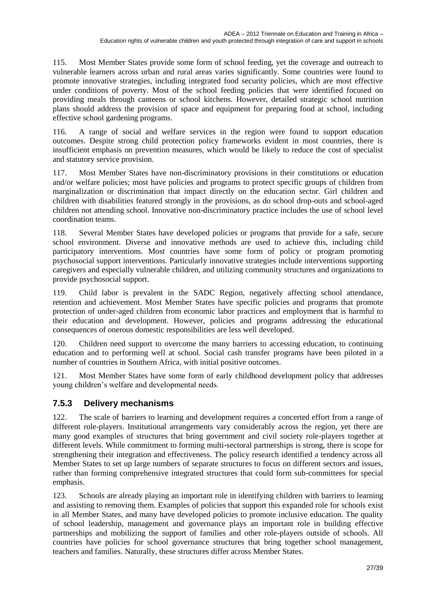115. Most Member States provide some form of school feeding, yet the coverage and outreach to vulnerable learners across urban and rural areas varies significantly. Some countries were found to promote innovative strategies, including integrated food security policies, which are most effective under conditions of poverty. Most of the school feeding policies that were identified focused on providing meals through canteens or school kitchens. However, detailed strategic school nutrition plans should address the provision of space and equipment for preparing food at school, including effective school gardening programs.

116. A range of social and welfare services in the region were found to support education outcomes. Despite strong child protection policy frameworks evident in most countries, there is insufficient emphasis on prevention measures, which would be likely to reduce the cost of specialist and statutory service provision.

117. Most Member States have non-discriminatory provisions in their constitutions or education and/or welfare policies; most have policies and programs to protect specific groups of children from marginalization or discrimination that impact directly on the education sector. Girl children and children with disabilities featured strongly in the provisions, as do school drop-outs and school-aged children not attending school. Innovative non-discriminatory practice includes the use of school level coordination teams.

118. Several Member States have developed policies or programs that provide for a safe, secure school environment. Diverse and innovative methods are used to achieve this, including child participatory interventions. Most countries have some form of policy or program promoting psychosocial support interventions. Particularly innovative strategies include interventions supporting caregivers and especially vulnerable children, and utilizing community structures and organizations to provide psychosocial support.

119. Child labor is prevalent in the SADC Region, negatively affecting school attendance, retention and achievement. Most Member States have specific policies and programs that promote protection of under-aged children from economic labor practices and employment that is harmful to their education and development. However, policies and programs addressing the educational consequences of onerous domestic responsibilities are less well developed.

120. Children need support to overcome the many barriers to accessing education, to continuing education and to performing well at school. Social cash transfer programs have been piloted in a number of countries in Southern Africa, with initial positive outcomes.

Most Member States have some form of early childhood development policy that addresses young children's welfare and developmental needs.

### <span id="page-26-0"></span>**7.5.3 Delivery mechanisms**

122. The scale of barriers to learning and development requires a concerted effort from a range of different role-players. Institutional arrangements vary considerably across the region, yet there are many good examples of structures that bring government and civil society role-players together at different levels. While commitment to forming multi-sectoral partnerships is strong, there is scope for strengthening their integration and effectiveness. The policy research identified a tendency across all Member States to set up large numbers of separate structures to focus on different sectors and issues, rather than forming comprehensive integrated structures that could form sub-committees for special emphasis.

123. Schools are already playing an important role in identifying children with barriers to learning and assisting to removing them. Examples of policies that support this expanded role for schools exist in all Member States, and many have developed policies to promote inclusive education. The quality of school leadership, management and governance plays an important role in building effective partnerships and mobilizing the support of families and other role-players outside of schools. All countries have policies for school governance structures that bring together school management, teachers and families. Naturally, these structures differ across Member States.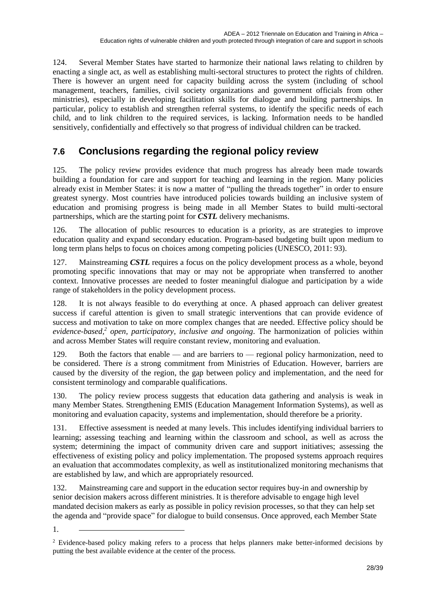124. Several Member States have started to harmonize their national laws relating to children by enacting a single act, as well as establishing multi-sectoral structures to protect the rights of children. There is however an urgent need for capacity building across the system (including of school management, teachers, families, civil society organizations and government officials from other ministries), especially in developing facilitation skills for dialogue and building partnerships. In particular, policy to establish and strengthen referral systems, to identify the specific needs of each child, and to link children to the required services, is lacking. Information needs to be handled sensitively, confidentially and effectively so that progress of individual children can be tracked.

## <span id="page-27-0"></span>**7.6 Conclusions regarding the regional policy review**

125. The policy review provides evidence that much progress has already been made towards building a foundation for care and support for teaching and learning in the region. Many policies already exist in Member States: it is now a matter of "pulling the threads together" in order to ensure greatest synergy. Most countries have introduced policies towards building an inclusive system of education and promising progress is being made in all Member States to build multi-sectoral partnerships, which are the starting point for *CSTL* delivery mechanisms.

126. The allocation of public resources to education is a priority, as are strategies to improve education quality and expand secondary education. Program-based budgeting built upon medium to long term plans helps to focus on choices among competing policies (UNESCO, 2011: 93).

127. Mainstreaming *CSTL* requires a focus on the policy development process as a whole, beyond promoting specific innovations that may or may not be appropriate when transferred to another context. Innovative processes are needed to foster meaningful dialogue and participation by a wide range of stakeholders in the policy development process.

128. It is not always feasible to do everything at once. A phased approach can deliver greatest success if careful attention is given to small strategic interventions that can provide evidence of success and motivation to take on more complex changes that are needed. Effective policy should be *evidence-based,<sup>2</sup> open, participatory, inclusive and ongoing*. The harmonization of policies within and across Member States will require constant review, monitoring and evaluation.

129. Both the factors that enable — and are barriers to — regional policy harmonization, need to be considered. There *is* a strong commitment from Ministries of Education. However, barriers are caused by the diversity of the region, the gap between policy and implementation, and the need for consistent terminology and comparable qualifications.

130. The policy review process suggests that education data gathering and analysis is weak in many Member States. Strengthening EMIS (Education Management Information Systems), as well as monitoring and evaluation capacity, systems and implementation, should therefore be a priority.

131. Effective assessment is needed at many levels. This includes identifying individual barriers to learning; assessing teaching and learning within the classroom and school, as well as across the system; determining the impact of community driven care and support initiatives; assessing the effectiveness of existing policy and policy implementation. The proposed systems approach requires an evaluation that accommodates complexity, as well as institutionalized monitoring mechanisms that are established by law, and which are appropriately resourced.

132. Mainstreaming care and support in the education sector requires buy-in and ownership by senior decision makers across different ministries. It is therefore advisable to engage high level mandated decision makers as early as possible in policy revision processes, so that they can help set the agenda and "provide space" for dialogue to build consensus. Once approved, each Member State

1.

<sup>&</sup>lt;sup>2</sup> Evidence-based policy making refers to a process that helps planners make better-informed decisions by putting the best available evidence at the center of the process.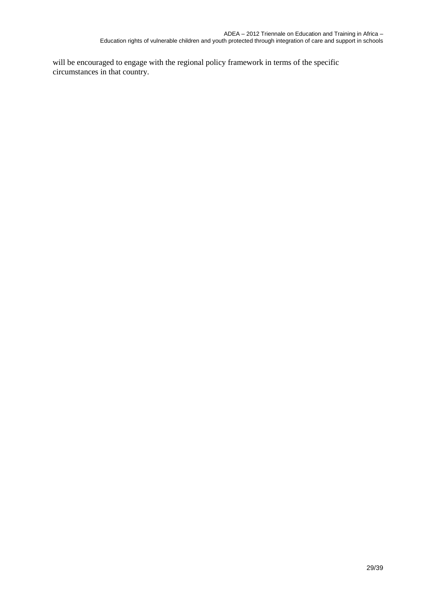will be encouraged to engage with the regional policy framework in terms of the specific circumstances in that country.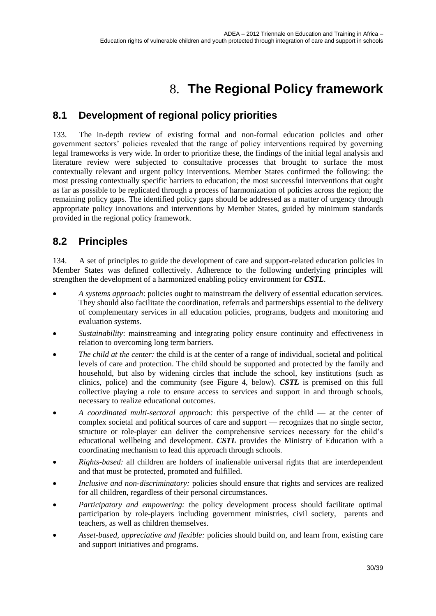# 8. **The Regional Policy framework**

## <span id="page-29-1"></span><span id="page-29-0"></span>**8.1 Development of regional policy priorities**

133. The in-depth review of existing formal and non-formal education policies and other government sectors' policies revealed that the range of policy interventions required by governing legal frameworks is very wide. In order to prioritize these, the findings of the initial legal analysis and literature review were subjected to consultative processes that brought to surface the most contextually relevant and urgent policy interventions. Member States confirmed the following: the most pressing contextually specific barriers to education; the most successful interventions that ought as far as possible to be replicated through a process of harmonization of policies across the region; the remaining policy gaps. The identified policy gaps should be addressed as a matter of urgency through appropriate policy innovations and interventions by Member States, guided by minimum standards provided in the regional policy framework.

## <span id="page-29-2"></span>**8.2 Principles**

134. A set of principles to guide the development of care and support-related education policies in Member States was defined collectively. Adherence to the following underlying principles will strengthen the development of a harmonized enabling policy environment for *CSTL*.

- *A systems approach*: policies ought to mainstream the delivery of essential education services. They should also facilitate the coordination, referrals and partnerships essential to the delivery of complementary services in all education policies, programs, budgets and monitoring and evaluation systems.
- *Sustainability*: mainstreaming and integrating policy ensure continuity and effectiveness in relation to overcoming long term barriers.
- *The child at the center:* the child is at the center of a range of individual, societal and political levels of care and protection. The child should be supported and protected by the family and household, but also by widening circles that include the school, key institutions (such as clinics, police) and the community (see [Figure 4,](#page-30-2) below). *CSTL* is premised on this full collective playing a role to ensure access to services and support in and through schools, necessary to realize educational outcomes.
- *A coordinated multi-sectoral approach:* this perspective of the child at the center of complex societal and political sources of care and support — recognizes that no single sector, structure or role-player can deliver the comprehensive services necessary for the child's educational wellbeing and development. *CSTL* provides the Ministry of Education with a coordinating mechanism to lead this approach through schools.
- *Rights-based:* all children are holders of inalienable universal rights that are interdependent and that must be protected, promoted and fulfilled.
- *Inclusive and non-discriminatory:* policies should ensure that rights and services are realized for all children, regardless of their personal circumstances.
- *Participatory and empowering:* the policy development process should facilitate optimal participation by role-players including government ministries, civil society, parents and teachers, as well as children themselves.
- *Asset-based, appreciative and flexible:* policies should build on, and learn from, existing care and support initiatives and programs.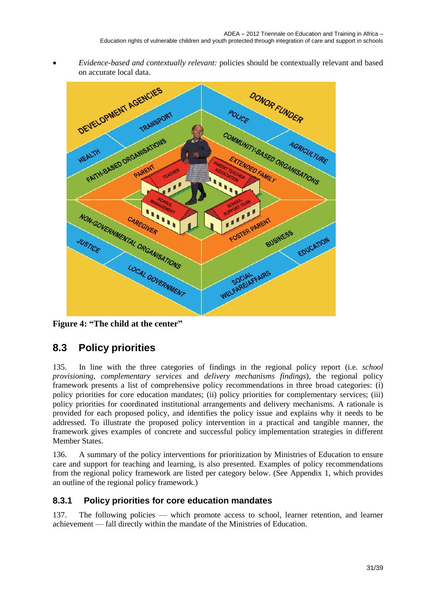*Evidence-based and contextually relevant:* policies should be contextually relevant and based on accurate local data.



<span id="page-30-2"></span>**Figure 4: "The child at the center"**

## <span id="page-30-0"></span>**8.3 Policy priorities**

135. In line with the three categories of findings in the regional policy report (i.e. *school provisioning, complementary services* and *delivery mechanisms findings*), the regional policy framework presents a list of comprehensive policy recommendations in three broad categories: (i) policy priorities for core education mandates; (ii) policy priorities for complementary services; (iii) policy priorities for coordinated institutional arrangements and delivery mechanisms. A rationale is provided for each proposed policy, and identifies the policy issue and explains why it needs to be addressed. To illustrate the proposed policy intervention in a practical and tangible manner, the framework gives examples of concrete and successful policy implementation strategies in different Member States.

136. A summary of the policy interventions for prioritization by Ministries of Education to ensure care and support for teaching and learning, is also presented. Examples of policy recommendations from the regional policy framework are listed per category below. (See Appendix 1, which provides an outline of the regional policy framework.)

### <span id="page-30-1"></span>**8.3.1 Policy priorities for core education mandates**

137. The following policies — which promote access to school, learner retention, and learner achievement — fall directly within the mandate of the Ministries of Education.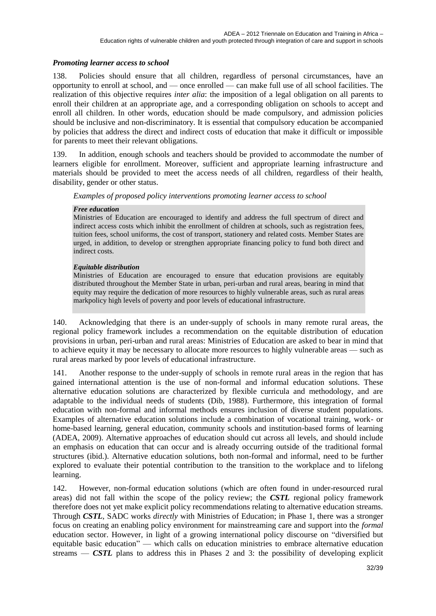### *Promoting learner access to school*

138. Policies should ensure that all children, regardless of personal circumstances, have an opportunity to enroll at school, and — once enrolled — can make full use of all school facilities. The realization of this objective requires *inter alia*: the imposition of a legal obligation on all parents to enroll their children at an appropriate age, and a corresponding obligation on schools to accept and enroll all children. In other words, education should be made compulsory, and admission policies should be inclusive and non-discriminatory. It is essential that compulsory education be accompanied by policies that address the direct and indirect costs of education that make it difficult or impossible for parents to meet their relevant obligations.

139. In addition, enough schools and teachers should be provided to accommodate the number of learners eligible for enrollment. Moreover, sufficient and appropriate learning infrastructure and materials should be provided to meet the access needs of all children, regardless of their health, disability, gender or other status.

*Examples of proposed policy interventions promoting learner access to school*

#### *Free education*

Ministries of Education are encouraged to identify and address the full spectrum of direct and indirect access costs which inhibit the enrollment of children at schools, such as registration fees, tuition fees, school uniforms, the cost of transport, stationery and related costs. Member States are urged, in addition, to develop or strengthen appropriate financing policy to fund both direct and indirect costs.

#### *Equitable distribution*

Ministries of Education are encouraged to ensure that education provisions are equitably distributed throughout the Member State in urban, peri-urban and rural areas, bearing in mind that equity may require the dedication of more resources to highly vulnerable areas, such as rural areas markpolicy high levels of poverty and poor levels of educational infrastructure.

140. Acknowledging that there is an under-supply of schools in many remote rural areas, the regional policy framework includes a recommendation on the equitable distribution of education provisions in urban, peri-urban and rural areas: Ministries of Education are asked to bear in mind that to achieve equity it may be necessary to allocate more resources to highly vulnerable areas — such as rural areas marked by poor levels of educational infrastructure.

141. Another response to the under-supply of schools in remote rural areas in the region that has gained international attention is the use of non-formal and informal education solutions. These alternative education solutions are characterized by flexible curricula and methodology, and are adaptable to the individual needs of students (Dib, 1988). Furthermore, this integration of formal education with non-formal and informal methods ensures inclusion of diverse student populations. Examples of alternative education solutions include a combination of vocational training, work- or home-based learning, general education, community schools and institution-based forms of learning (ADEA, 2009). Alternative approaches of education should cut across all levels, and should include an emphasis on education that can occur and is already occurring outside of the traditional formal structures (ibid.). Alternative education solutions, both non-formal and informal, need to be further explored to evaluate their potential contribution to the transition to the workplace and to lifelong learning.

142. However, non-formal education solutions (which are often found in under-resourced rural areas) did not fall within the scope of the policy review; the *CSTL* regional policy framework therefore does not yet make explicit policy recommendations relating to alternative education streams. Through *CSTL*, SADC works *directly* with Ministries of Education; in Phase 1, there was a stronger focus on creating an enabling policy environment for mainstreaming care and support into the *formal* education sector. However, in light of a growing international policy discourse on "diversified but equitable basic education" — which calls on education ministries to embrace alternative education streams — *CSTL* plans to address this in Phases 2 and 3: the possibility of developing explicit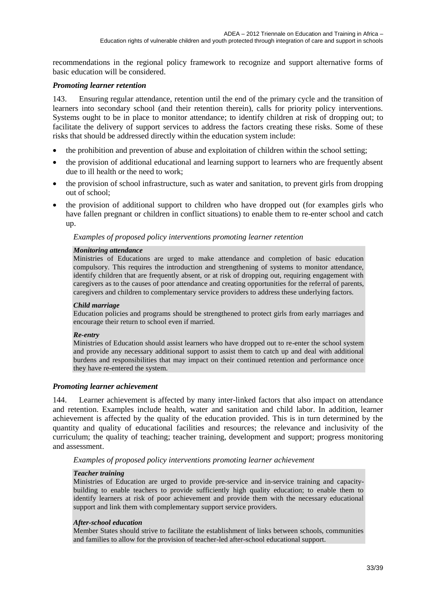recommendations in the regional policy framework to recognize and support alternative forms of basic education will be considered.

#### *Promoting learner retention*

143. Ensuring regular attendance, retention until the end of the primary cycle and the transition of learners into secondary school (and their retention therein), calls for priority policy interventions. Systems ought to be in place to monitor attendance; to identify children at risk of dropping out; to facilitate the delivery of support services to address the factors creating these risks. Some of these risks that should be addressed directly within the education system include:

- the prohibition and prevention of abuse and exploitation of children within the school setting;
- the provision of additional educational and learning support to learners who are frequently absent due to ill health or the need to work;
- the provision of school infrastructure, such as water and sanitation, to prevent girls from dropping out of school;
- the provision of additional support to children who have dropped out (for examples girls who have fallen pregnant or children in conflict situations) to enable them to re-enter school and catch up.

#### *Examples of proposed policy interventions promoting learner retention*

#### *Monitoring attendance*

Ministries of Educations are urged to make attendance and completion of basic education compulsory. This requires the introduction and strengthening of systems to monitor attendance, identify children that are frequently absent, or at risk of dropping out, requiring engagement with caregivers as to the causes of poor attendance and creating opportunities for the referral of parents, caregivers and children to complementary service providers to address these underlying factors.

#### *Child marriage*

Education policies and programs should be strengthened to protect girls from early marriages and encourage their return to school even if married.

#### *Re-entry*

Ministries of Education should assist learners who have dropped out to re-enter the school system and provide any necessary additional support to assist them to catch up and deal with additional burdens and responsibilities that may impact on their continued retention and performance once they have re-entered the system.

#### *Promoting learner achievement*

144. Learner achievement is affected by many inter-linked factors that also impact on attendance and retention. Examples include health, water and sanitation and child labor. In addition, learner achievement is affected by the quality of the education provided. This is in turn determined by the quantity and quality of educational facilities and resources; the relevance and inclusivity of the curriculum; the quality of teaching; teacher training, development and support; progress monitoring and assessment.

*Examples of proposed policy interventions promoting learner achievement*

#### *Teacher training*

Ministries of Education are urged to provide pre-service and in-service training and capacitybuilding to enable teachers to provide sufficiently high quality education; to enable them to identify learners at risk of poor achievement and provide them with the necessary educational support and link them with complementary support service providers.

#### *After-school education*

Member States should strive to facilitate the establishment of links between schools, communities and families to allow for the provision of teacher-led after-school educational support.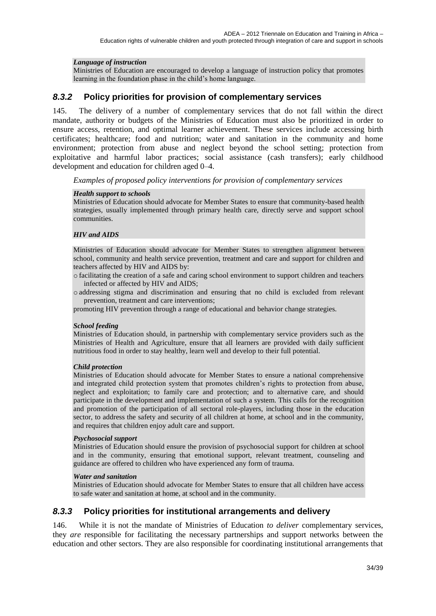### *Language of instruction*

Ministries of Education are encouraged to develop a language of instruction policy that promotes learning in the foundation phase in the child's home language.

### <span id="page-33-0"></span>*8.3.2* **Policy priorities for provision of complementary services**

145. The delivery of a number of complementary services that do not fall within the direct mandate, authority or budgets of the Ministries of Education must also be prioritized in order to ensure access, retention, and optimal learner achievement. These services include accessing birth certificates; healthcare; food and nutrition; water and sanitation in the community and home environment; protection from abuse and neglect beyond the school setting; protection from exploitative and harmful labor practices; social assistance (cash transfers); early childhood development and education for children aged 0–4.

*Examples of proposed policy interventions for provision of complementary services*

#### *Health support to schools*

Ministries of Education should advocate for Member States to ensure that community-based health strategies, usually implemented through primary health care, directly serve and support school communities.

#### *HIV and AIDS*

Ministries of Education should advocate for Member States to strengthen alignment between school, community and health service prevention, treatment and care and support for children and teachers affected by HIV and AIDS by:

o facilitating the creation of a safe and caring school environment to support children and teachers infected or affected by HIV and AIDS;

o addressing stigma and discrimination and ensuring that no child is excluded from relevant prevention, treatment and care interventions;

promoting HIV prevention through a range of educational and behavior change strategies.

#### *School feeding*

Ministries of Education should, in partnership with complementary service providers such as the Ministries of Health and Agriculture, ensure that all learners are provided with daily sufficient nutritious food in order to stay healthy, learn well and develop to their full potential.

#### *Child protection*

Ministries of Education should advocate for Member States to ensure a national comprehensive and integrated child protection system that promotes children's rights to protection from abuse, neglect and exploitation; to family care and protection; and to alternative care, and should participate in the development and implementation of such a system. This calls for the recognition and promotion of the participation of all sectoral role-players, including those in the education sector, to address the safety and security of all children at home, at school and in the community, and requires that children enjoy adult care and support.

#### *Psychosocial support*

Ministries of Education should ensure the provision of psychosocial support for children at school and in the community, ensuring that emotional support, relevant treatment, counseling and guidance are offered to children who have experienced any form of trauma.

#### *Water and sanitation*

Ministries of Education should advocate for Member States to ensure that all children have access to safe water and sanitation at home, at school and in the community.

### <span id="page-33-1"></span>*8.3.3* **Policy priorities for institutional arrangements and delivery**

146. While it is not the mandate of Ministries of Education *to deliver* complementary services, they *are* responsible for facilitating the necessary partnerships and support networks between the education and other sectors. They are also responsible for coordinating institutional arrangements that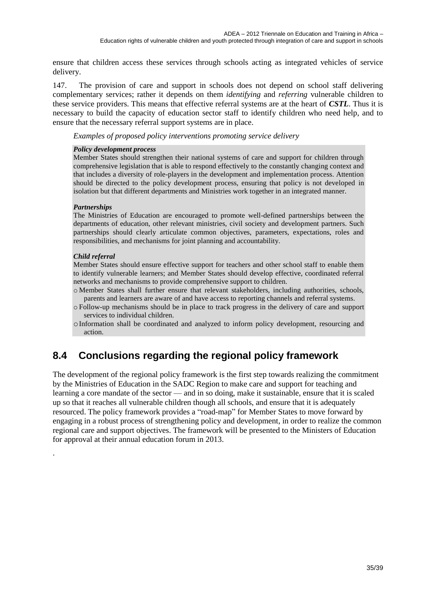ensure that children access these services through schools acting as integrated vehicles of service delivery.

147. The provision of care and support in schools does not depend on school staff delivering complementary services; rather it depends on them *identifying* and *referring* vulnerable children to these service providers. This means that effective referral systems are at the heart of *CSTL*. Thus it is necessary to build the capacity of education sector staff to identify children who need help, and to ensure that the necessary referral support systems are in place.

*Examples of proposed policy interventions promoting service delivery*

#### *Policy development process*

Member States should strengthen their national systems of care and support for children through comprehensive legislation that is able to respond effectively to the constantly changing context and that includes a diversity of role-players in the development and implementation process. Attention should be directed to the policy development process, ensuring that policy is not developed in isolation but that different departments and Ministries work together in an integrated manner.

#### *Partnerships*

The Ministries of Education are encouraged to promote well-defined partnerships between the departments of education, other relevant ministries, civil society and development partners. Such partnerships should clearly articulate common objectives, parameters, expectations, roles and responsibilities, and mechanisms for joint planning and accountability.

#### *Child referral*

.

Member States should ensure effective support for teachers and other school staff to enable them to identify vulnerable learners; and Member States should develop effective, coordinated referral networks and mechanisms to provide comprehensive support to children.

o Member States shall further ensure that relevant stakeholders, including authorities, schools, parents and learners are aware of and have access to reporting channels and referral systems.

o Follow-up mechanisms should be in place to track progress in the delivery of care and support services to individual children.

oInformation shall be coordinated and analyzed to inform policy development, resourcing and action.

### <span id="page-34-0"></span>**8.4 Conclusions regarding the regional policy framework**

The development of the regional policy framework is the first step towards realizing the commitment by the Ministries of Education in the SADC Region to make care and support for teaching and learning a core mandate of the sector — and in so doing, make it sustainable, ensure that it is scaled up so that it reaches all vulnerable children though all schools, and ensure that it is adequately resourced. The policy framework provides a "road-map" for Member States to move forward by engaging in a robust process of strengthening policy and development, in order to realize the common regional care and support objectives. The framework will be presented to the Ministers of Education for approval at their annual education forum in 2013.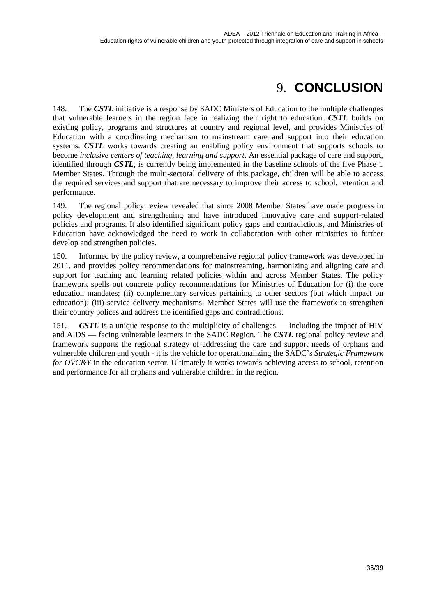# 9. **CONCLUSION**

<span id="page-35-0"></span>148. The *CSTL* initiative is a response by SADC Ministers of Education to the multiple challenges that vulnerable learners in the region face in realizing their right to education. *CSTL* builds on existing policy, programs and structures at country and regional level, and provides Ministries of Education with a coordinating mechanism to mainstream care and support into their education systems. *CSTL* works towards creating an enabling policy environment that supports schools to become *inclusive centers of teaching, learning and support*. An essential package of care and support, identified through *CSTL*, is currently being implemented in the baseline schools of the five Phase 1 Member States. Through the multi-sectoral delivery of this package, children will be able to access the required services and support that are necessary to improve their access to school, retention and performance.

149. The regional policy review revealed that since 2008 Member States have made progress in policy development and strengthening and have introduced innovative care and support-related policies and programs. It also identified significant policy gaps and contradictions, and Ministries of Education have acknowledged the need to work in collaboration with other ministries to further develop and strengthen policies.

150. Informed by the policy review, a comprehensive regional policy framework was developed in 2011, and provides policy recommendations for mainstreaming, harmonizing and aligning care and support for teaching and learning related policies within and across Member States. The policy framework spells out concrete policy recommendations for Ministries of Education for (i) the core education mandates; (ii) complementary services pertaining to other sectors (but which impact on education); (iii) service delivery mechanisms. Member States will use the framework to strengthen their country polices and address the identified gaps and contradictions.

151. *CSTL* is a unique response to the multiplicity of challenges — including the impact of HIV and AIDS — facing vulnerable learners in the SADC Region. The *CSTL* regional policy review and framework supports the regional strategy of addressing the care and support needs of orphans and vulnerable children and youth - it is the vehicle for operationalizing the SADC's *Strategic Framework for OVC&Y* in the education sector. Ultimately it works towards achieving access to school, retention and performance for all orphans and vulnerable children in the region.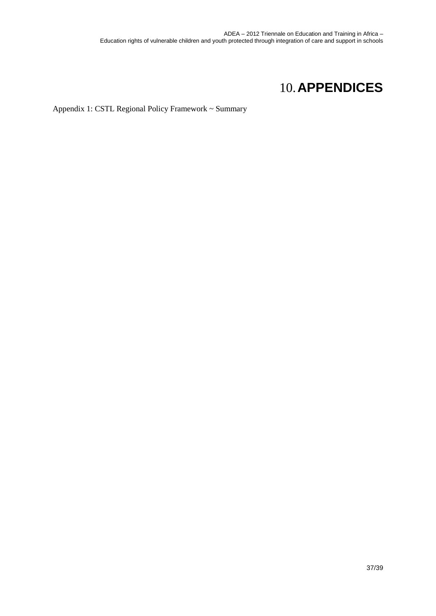# 10.**APPENDICES**

<span id="page-36-0"></span>Appendix 1: CSTL Regional Policy Framework ~ Summary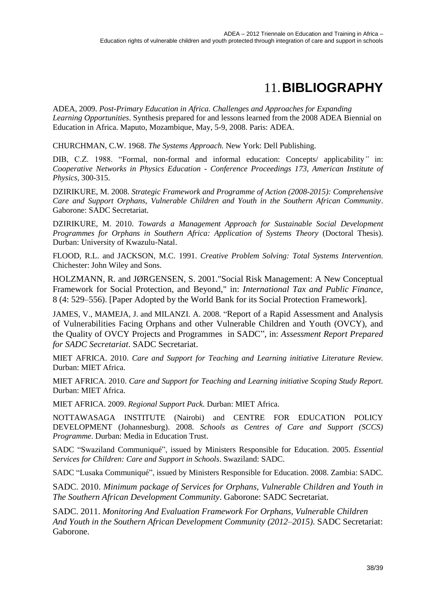# 11.**BIBLIOGRAPHY**

<span id="page-37-0"></span>ADEA, 2009. *Post-Primary Education in Africa. Challenges and Approaches for Expanding Learning Opportunities*. Synthesis prepared for and lessons learned from the 2008 ADEA Biennial on Education in Africa. Maputo, Mozambique, May, 5-9, 2008. Paris: ADEA.

CHURCHMAN, C.W. 1968. *The Systems Approach.* New York: Dell Publishing.

DIB, C.Z. 1988. "Formal, non-formal and informal education: Concepts/ applicability*"* in: *Cooperative Networks in Physics Education - Conference Proceedings 173, American Institute of Physics,* 300-315.

DZIRIKURE, M. 2008. *Strategic Framework and Programme of Action (2008-2015): Comprehensive Care and Support Orphans, Vulnerable Children and Youth in the Southern African Community*. Gaborone: SADC Secretariat.

DZIRIKURE, M. 2010. *Towards a Management Approach for Sustainable Social Development Programmes for Orphans in Southern Africa: Application of Systems Theory* (Doctoral Thesis). Durban: University of Kwazulu-Natal.

FLOOD, R.L. and JACKSON, M.C. 1991. *Creative Problem Solving: Total Systems Intervention.* Chichester: John Wiley and Sons.

HOLZMANN, R. and JØRGENSEN, S. 2001.["Social Risk Management: A New Conceptual](http://ideas.repec.org/a/kap/itaxpf/v8y2001i4p529-556.html)  [Framework for Social Protection, and Beyond,](http://ideas.repec.org/a/kap/itaxpf/v8y2001i4p529-556.html)" in: *[International Tax and Public Finance](http://ideas.repec.org/s/kap/itaxpf.html)*, 8 (4: 529–556). [Paper Adopted by the World Bank for its Social Protection Framework].

JAMES, V., MAMEJA, J. and MILANZI. A. 2008. "Report of a Rapid Assessment and Analysis of Vulnerabilities Facing Orphans and other Vulnerable Children and Youth (OVCY), and the Quality of OVCY Projects and Programmes in SADC", in: *Assessment Report Prepared for SADC Secretariat*. SADC Secretariat.

MIET AFRICA. 2010. *Care and Support for Teaching and Learning initiative Literature Review.* Durban: MIET Africa.

MIET AFRICA. 2010. *Care and Support for Teaching and Learning initiative Scoping Study Report.* Durban: MIET Africa.

MIET AFRICA. 2009. *Regional Support Pack.* Durban: MIET Africa.

NOTTAWASAGA INSTITUTE (Nairobi) and CENTRE FOR EDUCATION POLICY DEVELOPMENT (Johannesburg). 2008. *Schools as Centres of Care and Support (SCCS) Programme*. Durban: Media in Education Trust.

SADC "Swaziland Communiqué", issued by Ministers Responsible for Education. 2005. *Essential Services for Children: Care and Support in Schools*. Swaziland: SADC.

SADC "Lusaka Communiqué", issued by Ministers Responsible for Education. 2008. Zambia: SADC.

SADC. 2010. *Minimum package of Services for Orphans, Vulnerable Children and Youth in The Southern African Development Community*. Gaborone: SADC Secretariat.

SADC. 2011. *Monitoring And Evaluation Framework For Orphans, Vulnerable Children And Youth in the Southern African Development Community (2012–2015)*. SADC Secretariat: Gaborone.